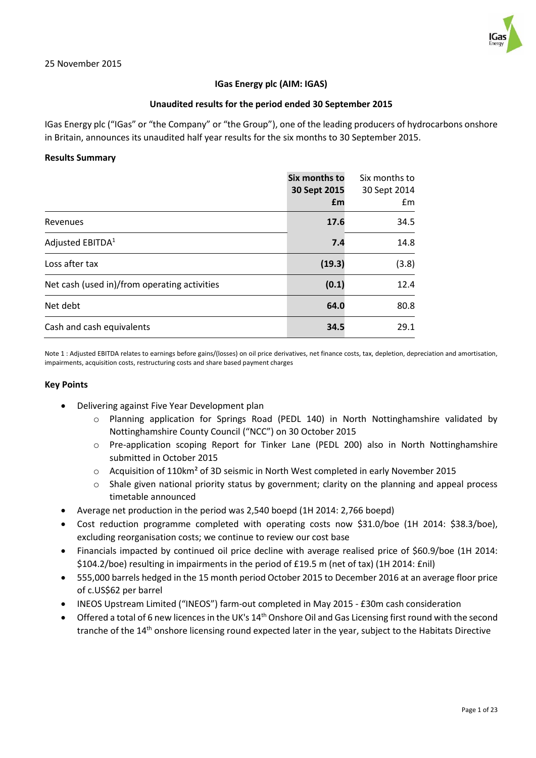

# **IGas Energy plc (AIM: IGAS)**

# **Unaudited results for the period ended 30 September 2015**

IGas Energy plc ("IGas" or "the Company" or "the Group"), one of the leading producers of hydrocarbons onshore in Britain, announces its unaudited half year results for the six months to 30 September 2015.

# **Results Summary**

|                                              | Six months to<br>30 Sept 2015<br>£m | Six months to<br>30 Sept 2014<br>Em |
|----------------------------------------------|-------------------------------------|-------------------------------------|
| Revenues                                     | 17.6                                | 34.5                                |
| Adjusted EBITDA <sup>1</sup>                 | 7.4                                 | 14.8                                |
| Loss after tax                               | (19.3)                              | (3.8)                               |
| Net cash (used in)/from operating activities | (0.1)                               | 12.4                                |
| Net debt                                     | 64.0                                | 80.8                                |
| Cash and cash equivalents                    | 34.5                                | 29.1                                |

Note 1 : Adjusted EBITDA relates to earnings before gains/(losses) on oil price derivatives, net finance costs, tax, depletion, depreciation and amortisation, impairments, acquisition costs, restructuring costs and share based payment charges

## **Key Points**

- Delivering against Five Year Development plan
	- o Planning application for Springs Road (PEDL 140) in North Nottinghamshire validated by Nottinghamshire County Council ("NCC") on 30 October 2015
	- o Pre-application scoping Report for Tinker Lane (PEDL 200) also in North Nottinghamshire submitted in October 2015
	- o Acquisition of 110km² of 3D seismic in North West completed in early November 2015
	- o Shale given national priority status by government; clarity on the planning and appeal process timetable announced
- Average net production in the period was 2,540 boepd (1H 2014: 2,766 boepd)
- Cost reduction programme completed with operating costs now \$31.0/boe (1H 2014: \$38.3/boe), excluding reorganisation costs; we continue to review our cost base
- Financials impacted by continued oil price decline with average realised price of \$60.9/boe (1H 2014: \$104.2/boe) resulting in impairments in the period of £19.5 m (net of tax) (1H 2014: £nil)
- 555,000 barrels hedged in the 15 month period October 2015 to December 2016 at an average floor price of c.US\$62 per barrel
- INEOS Upstream Limited ("INEOS") farm-out completed in May 2015 £30m cash consideration
- $\bullet$  Offered a total of 6 new licences in the UK's 14<sup>th</sup> Onshore Oil and Gas Licensing first round with the second tranche of the 14<sup>th</sup> onshore licensing round expected later in the year, subject to the Habitats Directive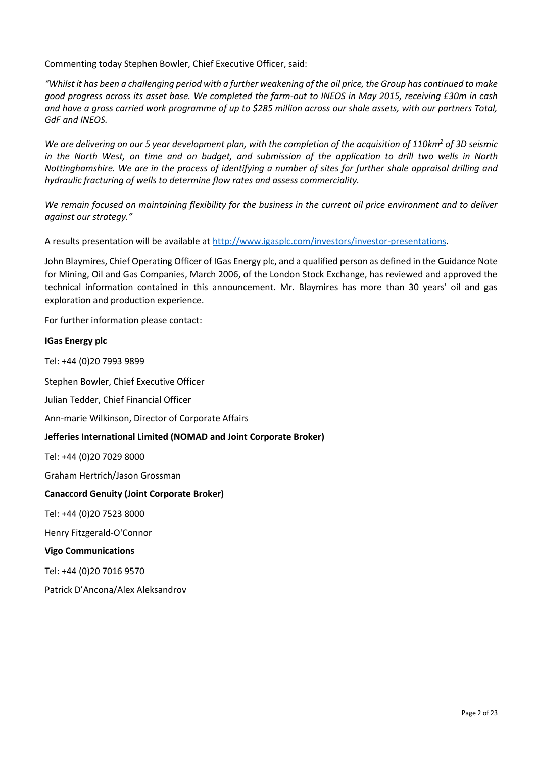Commenting today Stephen Bowler, Chief Executive Officer, said:

*"Whilst it has been a challenging period with a further weakening of the oil price, the Group has continued to make good progress across its asset base. We completed the farm-out to INEOS in May 2015, receiving £30m in cash and have a gross carried work programme of up to \$285 million across our shale assets, with our partners Total, GdF and INEOS.* 

*We are delivering on our 5 year development plan, with the completion of the acquisition of 110km<sup>2</sup> of 3D seismic in the North West, on time and on budget, and submission of the application to drill two wells in North Nottinghamshire. We are in the process of identifying a number of sites for further shale appraisal drilling and hydraulic fracturing of wells to determine flow rates and assess commerciality.*

*We remain focused on maintaining flexibility for the business in the current oil price environment and to deliver against our strategy."*

A results presentation will be available at [http://www.igasplc.com/investors/investor-presentations.](http://www.igasplc.com/investors/investor-presentations)

John Blaymires, Chief Operating Officer of IGas Energy plc, and a qualified person as defined in the Guidance Note for Mining, Oil and Gas Companies, March 2006, of the London Stock Exchange, has reviewed and approved the technical information contained in this announcement. Mr. Blaymires has more than 30 years' oil and gas exploration and production experience.

For further information please contact:

# **IGas Energy plc**

Tel: +44 (0)20 7993 9899

Stephen Bowler, Chief Executive Officer

Julian Tedder, Chief Financial Officer

Ann-marie Wilkinson, Director of Corporate Affairs

# **Jefferies International Limited (NOMAD and Joint Corporate Broker)**

Tel: +44 (0)20 7029 8000

Graham Hertrich/Jason Grossman

# **Canaccord Genuity (Joint Corporate Broker)**

Tel: +44 (0)20 7523 8000

Henry Fitzgerald-O'Connor

# **Vigo Communications**

Tel: +44 (0)20 7016 9570

Patrick D'Ancona/Alex Aleksandrov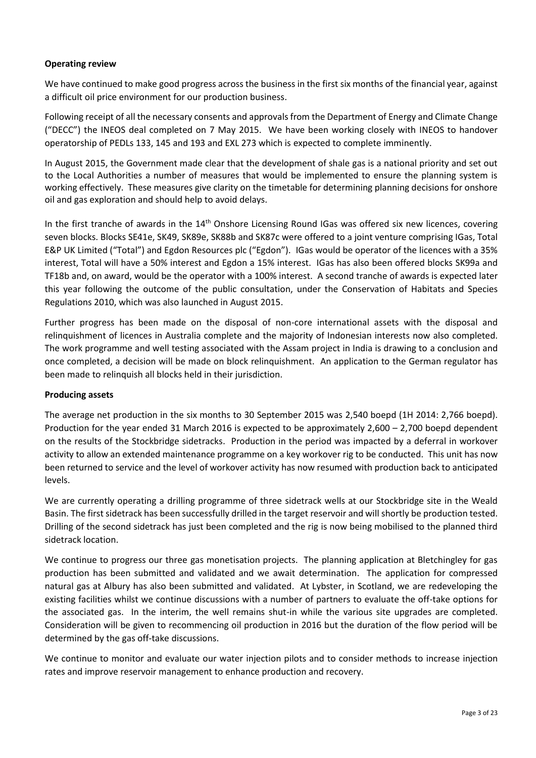# **Operating review**

We have continued to make good progress across the business in the first six months of the financial year, against a difficult oil price environment for our production business.

Following receipt of all the necessary consents and approvals from the Department of Energy and Climate Change ("DECC") the INEOS deal completed on 7 May 2015. We have been working closely with INEOS to handover operatorship of PEDLs 133, 145 and 193 and EXL 273 which is expected to complete imminently.

In August 2015, the Government made clear that the development of shale gas is a national priority and set out to the Local Authorities a number of measures that would be implemented to ensure the planning system is working effectively. These measures give clarity on the timetable for determining planning decisions for onshore oil and gas exploration and should help to avoid delays.

In the first tranche of awards in the 14<sup>th</sup> Onshore Licensing Round IGas was offered six new licences, covering seven blocks. Blocks SE41e, SK49, SK89e, SK88b and SK87c were offered to a joint venture comprising IGas, Total E&P UK Limited ("Total") and Egdon Resources plc ("Egdon"). IGas would be operator of the licences with a 35% interest, Total will have a 50% interest and Egdon a 15% interest. IGas has also been offered blocks SK99a and TF18b and, on award, would be the operator with a 100% interest. A second tranche of awards is expected later this year following the outcome of the public consultation, under the Conservation of Habitats and Species Regulations 2010, which was also launched in August 2015.

Further progress has been made on the disposal of non-core international assets with the disposal and relinquishment of licences in Australia complete and the majority of Indonesian interests now also completed. The work programme and well testing associated with the Assam project in India is drawing to a conclusion and once completed, a decision will be made on block relinquishment. An application to the German regulator has been made to relinquish all blocks held in their jurisdiction.

# **Producing assets**

The average net production in the six months to 30 September 2015 was 2,540 boepd (1H 2014: 2,766 boepd). Production for the year ended 31 March 2016 is expected to be approximately 2,600 – 2,700 boepd dependent on the results of the Stockbridge sidetracks. Production in the period was impacted by a deferral in workover activity to allow an extended maintenance programme on a key workover rig to be conducted. This unit has now been returned to service and the level of workover activity has now resumed with production back to anticipated levels.

We are currently operating a drilling programme of three sidetrack wells at our Stockbridge site in the Weald Basin. The first sidetrack has been successfully drilled in the target reservoir and will shortly be production tested. Drilling of the second sidetrack has just been completed and the rig is now being mobilised to the planned third sidetrack location.

We continue to progress our three gas monetisation projects. The planning application at Bletchingley for gas production has been submitted and validated and we await determination. The application for compressed natural gas at Albury has also been submitted and validated. At Lybster, in Scotland, we are redeveloping the existing facilities whilst we continue discussions with a number of partners to evaluate the off-take options for the associated gas. In the interim, the well remains shut-in while the various site upgrades are completed. Consideration will be given to recommencing oil production in 2016 but the duration of the flow period will be determined by the gas off-take discussions.

We continue to monitor and evaluate our water injection pilots and to consider methods to increase injection rates and improve reservoir management to enhance production and recovery.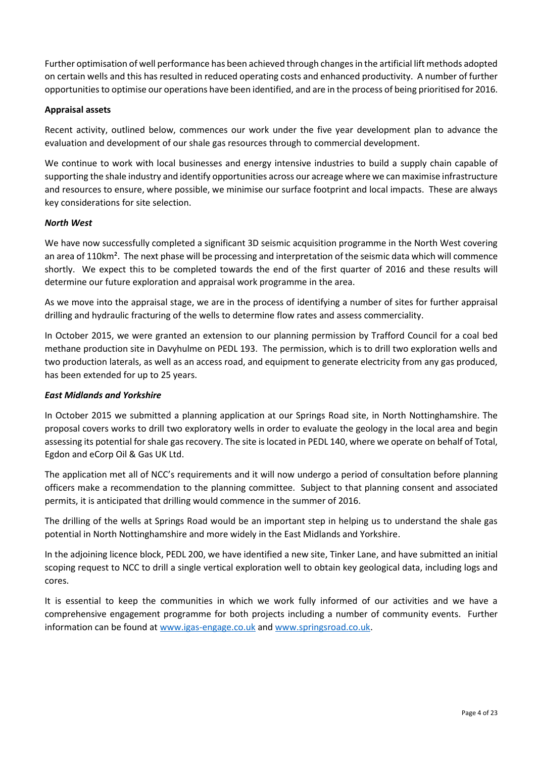Further optimisation of well performance has been achieved through changes in the artificial lift methods adopted on certain wells and this has resulted in reduced operating costs and enhanced productivity. A number of further opportunities to optimise our operations have been identified, and are in the process of being prioritised for 2016.

# **Appraisal assets**

Recent activity, outlined below, commences our work under the five year development plan to advance the evaluation and development of our shale gas resources through to commercial development.

We continue to work with local businesses and energy intensive industries to build a supply chain capable of supporting the shale industry and identify opportunities across our acreage where we can maximise infrastructure and resources to ensure, where possible, we minimise our surface footprint and local impacts. These are always key considerations for site selection.

# *North West*

We have now successfully completed a significant 3D seismic acquisition programme in the North West covering an area of 110km². The next phase will be processing and interpretation of the seismic data which will commence shortly. We expect this to be completed towards the end of the first quarter of 2016 and these results will determine our future exploration and appraisal work programme in the area.

As we move into the appraisal stage, we are in the process of identifying a number of sites for further appraisal drilling and hydraulic fracturing of the wells to determine flow rates and assess commerciality.

In October 2015, we were granted an extension to our planning permission by Trafford Council for a coal bed methane production site in Davyhulme on PEDL 193. The permission, which is to drill two exploration wells and two production laterals, as well as an access road, and equipment to generate electricity from any gas produced, has been extended for up to 25 years.

# *East Midlands and Yorkshire*

In October 2015 we submitted a planning application at our Springs Road site, in North Nottinghamshire. The proposal covers works to drill two exploratory wells in order to evaluate the geology in the local area and begin assessing its potential for shale gas recovery. The site is located in PEDL 140, where we operate on behalf of Total, Egdon and eCorp Oil & Gas UK Ltd.

The application met all of NCC's requirements and it will now undergo a period of consultation before planning officers make a recommendation to the planning committee. Subject to that planning consent and associated permits, it is anticipated that drilling would commence in the summer of 2016.

The drilling of the wells at Springs Road would be an important step in helping us to understand the shale gas potential in North Nottinghamshire and more widely in the East Midlands and Yorkshire.

In the adjoining licence block, PEDL 200, we have identified a new site, Tinker Lane, and have submitted an initial scoping request to NCC to drill a single vertical exploration well to obtain key geological data, including logs and cores.

It is essential to keep the communities in which we work fully informed of our activities and we have a comprehensive engagement programme for both projects including a number of community events. Further information can be found a[t www.igas-engage.co.uk](http://www.igas-engage.co.uk/) an[d www.springsroad.co.uk.](http://www.springsroad.co.uk/)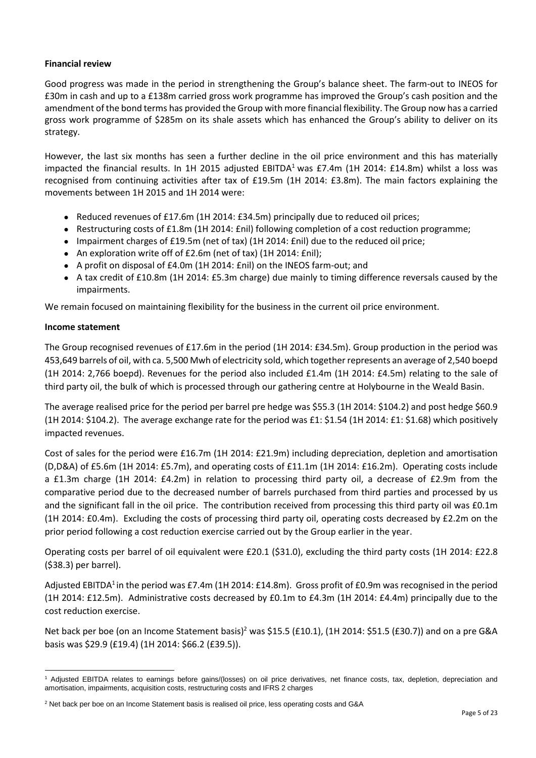# **Financial review**

Good progress was made in the period in strengthening the Group's balance sheet. The farm-out to INEOS for £30m in cash and up to a £138m carried gross work programme has improved the Group's cash position and the amendment of the bond terms has provided the Group with more financial flexibility. The Group now has a carried gross work programme of \$285m on its shale assets which has enhanced the Group's ability to deliver on its strategy.

However, the last six months has seen a further decline in the oil price environment and this has materially impacted the financial results. In 1H 2015 adjusted EBITDA<sup>1</sup> was £7.4m (1H 2014: £14.8m) whilst a loss was recognised from continuing activities after tax of £19.5m (1H 2014: £3.8m). The main factors explaining the movements between 1H 2015 and 1H 2014 were:

- $\bullet$  Reduced revenues of £17.6m (1H 2014: £34.5m) principally due to reduced oil prices;
- Restructuring costs of £1.8m (1H 2014: £nil) following completion of a cost reduction programme;
- Impairment charges of £19.5m (net of tax) (1H 2014: £nil) due to the reduced oil price;
- An exploration write off of £2.6m (net of tax) (1H 2014: £nil);
- A profit on disposal of £4.0m (1H 2014: £nil) on the INEOS farm-out; and
- A tax credit of £10.8m (1H 2014: £5.3m charge) due mainly to timing difference reversals caused by the impairments.

We remain focused on maintaining flexibility for the business in the current oil price environment.

# **Income statement**

The Group recognised revenues of £17.6m in the period (1H 2014: £34.5m). Group production in the period was 453,649 barrels of oil, with ca. 5,500 Mwh of electricity sold, which together represents an average of 2,540 boepd (1H 2014: 2,766 boepd). Revenues for the period also included £1.4m (1H 2014: £4.5m) relating to the sale of third party oil, the bulk of which is processed through our gathering centre at Holybourne in the Weald Basin.

The average realised price for the period per barrel pre hedge was \$55.3 (1H 2014: \$104.2) and post hedge \$60.9 (1H 2014: \$104.2). The average exchange rate for the period was £1: \$1.54 (1H 2014: £1: \$1.68) which positively impacted revenues.

Cost of sales for the period were £16.7m (1H 2014: £21.9m) including depreciation, depletion and amortisation (D,D&A) of £5.6m (1H 2014: £5.7m), and operating costs of £11.1m (1H 2014: £16.2m). Operating costs include a £1.3m charge (1H 2014: £4.2m) in relation to processing third party oil, a decrease of £2.9m from the comparative period due to the decreased number of barrels purchased from third parties and processed by us and the significant fall in the oil price. The contribution received from processing this third party oil was £0.1m (1H 2014: £0.4m). Excluding the costs of processing third party oil, operating costs decreased by £2.2m on the prior period following a cost reduction exercise carried out by the Group earlier in the year.

Operating costs per barrel of oil equivalent were £20.1 (\$31.0), excluding the third party costs (1H 2014: £22.8 (\$38.3) per barrel).

Adjusted EBITDA<sup>1</sup> in the period was £7.4m (1H 2014: £14.8m). Gross profit of £0.9m was recognised in the period (1H 2014: £12.5m). Administrative costs decreased by £0.1m to £4.3m (1H 2014: £4.4m) principally due to the cost reduction exercise.

Net back per boe (on an Income Statement basis)<sup>2</sup> was \$15.5 (£10.1), (1H 2014: \$51.5 (£30.7)) and on a pre G&A basis was \$29.9 (£19.4) (1H 2014: \$66.2 (£39.5)).

 $\overline{a}$ <sup>1</sup> Adjusted EBITDA relates to earnings before gains/(losses) on oil price derivatives, net finance costs, tax, depletion, depreciation and amortisation, impairments, acquisition costs, restructuring costs and IFRS 2 charges

<sup>&</sup>lt;sup>2</sup> Net back per boe on an Income Statement basis is realised oil price, less operating costs and G&A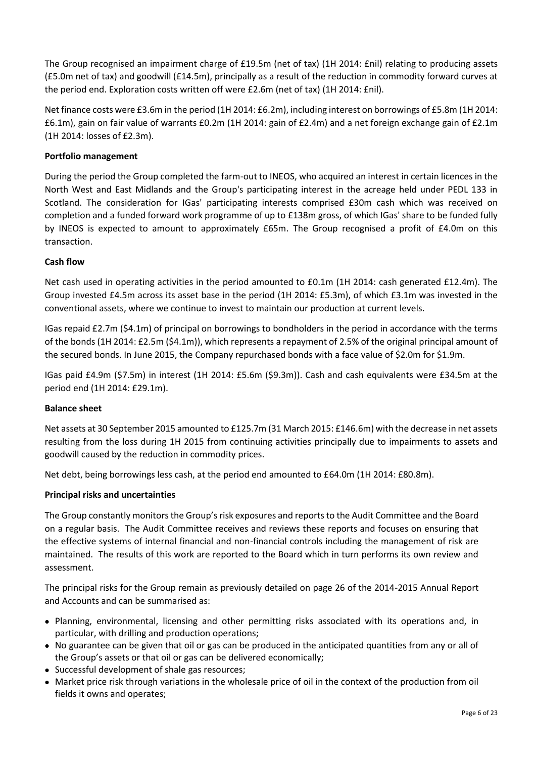The Group recognised an impairment charge of £19.5m (net of tax) (1H 2014: £nil) relating to producing assets (£5.0m net of tax) and goodwill (£14.5m), principally as a result of the reduction in commodity forward curves at the period end. Exploration costs written off were £2.6m (net of tax) (1H 2014: £nil).

Net finance costs were £3.6m in the period (1H 2014: £6.2m), including interest on borrowings of £5.8m (1H 2014: £6.1m), gain on fair value of warrants £0.2m (1H 2014: gain of £2.4m) and a net foreign exchange gain of £2.1m (1H 2014: losses of £2.3m).

# **Portfolio management**

During the period the Group completed the farm-out to INEOS, who acquired an interest in certain licences in the North West and East Midlands and the Group's participating interest in the acreage held under PEDL 133 in Scotland. The consideration for IGas' participating interests comprised £30m cash which was received on completion and a funded forward work programme of up to £138m gross, of which IGas' share to be funded fully by INEOS is expected to amount to approximately £65m. The Group recognised a profit of £4.0m on this transaction.

# **Cash flow**

Net cash used in operating activities in the period amounted to £0.1m (1H 2014: cash generated £12.4m). The Group invested £4.5m across its asset base in the period (1H 2014: £5.3m), of which £3.1m was invested in the conventional assets, where we continue to invest to maintain our production at current levels.

IGas repaid £2.7m (\$4.1m) of principal on borrowings to bondholders in the period in accordance with the terms of the bonds (1H 2014: £2.5m (\$4.1m)), which represents a repayment of 2.5% of the original principal amount of the secured bonds. In June 2015, the Company repurchased bonds with a face value of \$2.0m for \$1.9m.

IGas paid £4.9m (\$7.5m) in interest (1H 2014: £5.6m (\$9.3m)). Cash and cash equivalents were £34.5m at the period end (1H 2014: £29.1m).

# **Balance sheet**

Net assets at 30 September 2015 amounted to £125.7m (31 March 2015: £146.6m) with the decrease in net assets resulting from the loss during 1H 2015 from continuing activities principally due to impairments to assets and goodwill caused by the reduction in commodity prices.

Net debt, being borrowings less cash, at the period end amounted to £64.0m (1H 2014: £80.8m).

# **Principal risks and uncertainties**

The Group constantly monitors the Group's risk exposures and reports to the Audit Committee and the Board on a regular basis. The Audit Committee receives and reviews these reports and focuses on ensuring that the effective systems of internal financial and non-financial controls including the management of risk are maintained. The results of this work are reported to the Board which in turn performs its own review and assessment.

The principal risks for the Group remain as previously detailed on page 26 of the 2014-2015 Annual Report and Accounts and can be summarised as:

- Planning, environmental, licensing and other permitting risks associated with its operations and, in particular, with drilling and production operations;
- No guarantee can be given that oil or gas can be produced in the anticipated quantities from any or all of the Group's assets or that oil or gas can be delivered economically;
- Successful development of shale gas resources;
- Market price risk through variations in the wholesale price of oil in the context of the production from oil fields it owns and operates;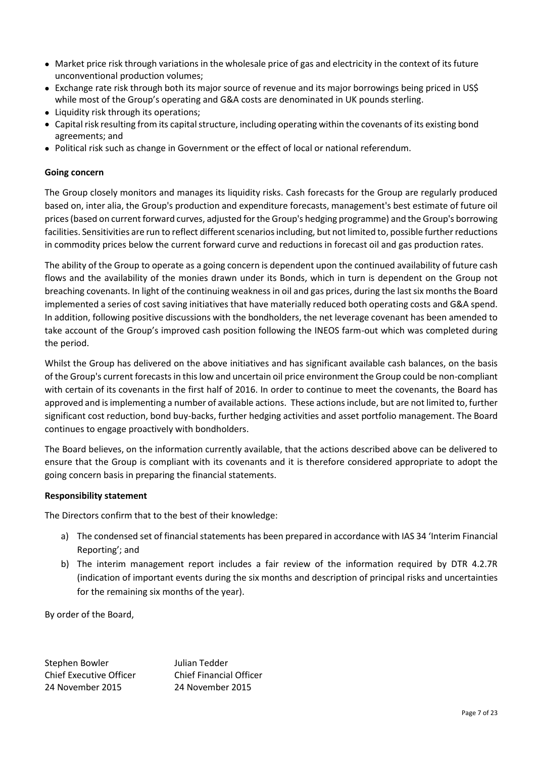- Market price risk through variations in the wholesale price of gas and electricity in the context of its future unconventional production volumes;
- Exchange rate risk through both its major source of revenue and its major borrowings being priced in US\$ while most of the Group's operating and G&A costs are denominated in UK pounds sterling.
- Liquidity risk through its operations;
- Capital risk resulting from its capital structure, including operating within the covenants of its existing bond agreements; and
- Political risk such as change in Government or the effect of local or national referendum.

# **Going concern**

The Group closely monitors and manages its liquidity risks. Cash forecasts for the Group are regularly produced based on, inter alia, the Group's production and expenditure forecasts, management's best estimate of future oil prices (based on current forward curves, adjusted for the Group's hedging programme) and the Group's borrowing facilities. Sensitivities are run to reflect different scenarios including, but not limited to, possible further reductions in commodity prices below the current forward curve and reductions in forecast oil and gas production rates.

The ability of the Group to operate as a going concern is dependent upon the continued availability of future cash flows and the availability of the monies drawn under its Bonds, which in turn is dependent on the Group not breaching covenants. In light of the continuing weakness in oil and gas prices, during the last six months the Board implemented a series of cost saving initiatives that have materially reduced both operating costs and G&A spend. In addition, following positive discussions with the bondholders, the net leverage covenant has been amended to take account of the Group's improved cash position following the INEOS farm-out which was completed during the period.

Whilst the Group has delivered on the above initiatives and has significant available cash balances, on the basis of the Group's current forecasts in this low and uncertain oil price environment the Group could be non-compliant with certain of its covenants in the first half of 2016. In order to continue to meet the covenants, the Board has approved and is implementing a number of available actions. These actions include, but are not limited to, further significant cost reduction, bond buy-backs, further hedging activities and asset portfolio management. The Board continues to engage proactively with bondholders.

The Board believes, on the information currently available, that the actions described above can be delivered to ensure that the Group is compliant with its covenants and it is therefore considered appropriate to adopt the going concern basis in preparing the financial statements.

# **Responsibility statement**

The Directors confirm that to the best of their knowledge:

- a) The condensed set of financial statements has been prepared in accordance with IAS 34 'Interim Financial Reporting'; and
- b) The interim management report includes a fair review of the information required by DTR 4.2.7R (indication of important events during the six months and description of principal risks and uncertainties for the remaining six months of the year).

By order of the Board,

Stephen Bowler **Julian Tedder** Chief Executive Officer Chief Financial Officer 24 November 2015 24 November 2015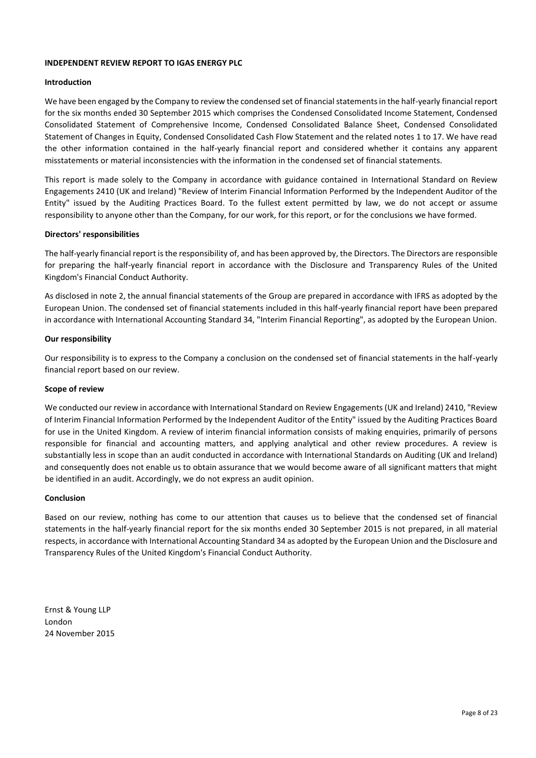## **INDEPENDENT REVIEW REPORT TO IGAS ENERGY PLC**

## **Introduction**

We have been engaged by the Company to review the condensed set of financial statements in the half-yearly financial report for the six months ended 30 September 2015 which comprises the Condensed Consolidated Income Statement, Condensed Consolidated Statement of Comprehensive Income, Condensed Consolidated Balance Sheet, Condensed Consolidated Statement of Changes in Equity, Condensed Consolidated Cash Flow Statement and the related notes 1 to 17. We have read the other information contained in the half-yearly financial report and considered whether it contains any apparent misstatements or material inconsistencies with the information in the condensed set of financial statements.

This report is made solely to the Company in accordance with guidance contained in International Standard on Review Engagements 2410 (UK and Ireland) "Review of Interim Financial Information Performed by the Independent Auditor of the Entity" issued by the Auditing Practices Board. To the fullest extent permitted by law, we do not accept or assume responsibility to anyone other than the Company, for our work, for this report, or for the conclusions we have formed.

## **Directors' responsibilities**

The half-yearly financial report is the responsibility of, and has been approved by, the Directors. The Directors are responsible for preparing the half-yearly financial report in accordance with the Disclosure and Transparency Rules of the United Kingdom's Financial Conduct Authority.

As disclosed in note 2, the annual financial statements of the Group are prepared in accordance with IFRS as adopted by the European Union. The condensed set of financial statements included in this half-yearly financial report have been prepared in accordance with International Accounting Standard 34, "Interim Financial Reporting", as adopted by the European Union.

## **Our responsibility**

Our responsibility is to express to the Company a conclusion on the condensed set of financial statements in the half-yearly financial report based on our review.

## **Scope of review**

We conducted our review in accordance with International Standard on Review Engagements (UK and Ireland) 2410, "Review of Interim Financial Information Performed by the Independent Auditor of the Entity" issued by the Auditing Practices Board for use in the United Kingdom. A review of interim financial information consists of making enquiries, primarily of persons responsible for financial and accounting matters, and applying analytical and other review procedures. A review is substantially less in scope than an audit conducted in accordance with International Standards on Auditing (UK and Ireland) and consequently does not enable us to obtain assurance that we would become aware of all significant matters that might be identified in an audit. Accordingly, we do not express an audit opinion.

## **Conclusion**

Based on our review, nothing has come to our attention that causes us to believe that the condensed set of financial statements in the half-yearly financial report for the six months ended 30 September 2015 is not prepared, in all material respects, in accordance with International Accounting Standard 34 as adopted by the European Union and the Disclosure and Transparency Rules of the United Kingdom's Financial Conduct Authority.

Ernst & Young LLP London 24 November 2015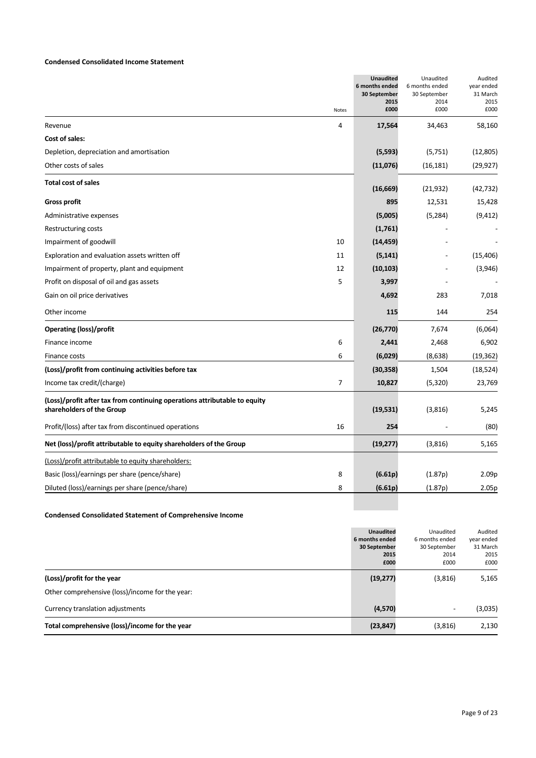## **Condensed Consolidated Income Statement**

|                                                                                                        |                | <b>Unaudited</b><br>6 months ended<br>30 September<br>2015 | Unaudited<br>6 months ended<br>30 September<br>2014 | Audited<br>year ended<br>31 March<br>2015 |
|--------------------------------------------------------------------------------------------------------|----------------|------------------------------------------------------------|-----------------------------------------------------|-------------------------------------------|
|                                                                                                        | <b>Notes</b>   | £000                                                       | £000                                                | £000                                      |
| Revenue                                                                                                | 4              | 17,564                                                     | 34,463                                              | 58,160                                    |
| <b>Cost of sales:</b>                                                                                  |                |                                                            |                                                     |                                           |
| Depletion, depreciation and amortisation                                                               |                | (5, 593)                                                   | (5,751)                                             | (12,805)                                  |
| Other costs of sales                                                                                   |                | (11,076)                                                   | (16, 181)                                           | (29, 927)                                 |
| <b>Total cost of sales</b>                                                                             |                | (16, 669)                                                  | (21, 932)                                           | (42, 732)                                 |
| <b>Gross profit</b>                                                                                    |                | 895                                                        | 12,531                                              | 15,428                                    |
| Administrative expenses                                                                                |                | (5,005)                                                    | (5, 284)                                            | (9, 412)                                  |
| Restructuring costs                                                                                    |                | (1,761)                                                    |                                                     |                                           |
| Impairment of goodwill                                                                                 | 10             | (14, 459)                                                  |                                                     |                                           |
| Exploration and evaluation assets written off                                                          | 11             | (5, 141)                                                   |                                                     | (15, 406)                                 |
| Impairment of property, plant and equipment                                                            | 12             | (10, 103)                                                  |                                                     | (3,946)                                   |
| Profit on disposal of oil and gas assets                                                               | 5              | 3,997                                                      |                                                     |                                           |
| Gain on oil price derivatives                                                                          |                | 4,692                                                      | 283                                                 | 7,018                                     |
| Other income                                                                                           |                | 115                                                        | 144                                                 | 254                                       |
| <b>Operating (loss)/profit</b>                                                                         |                | (26, 770)                                                  | 7,674                                               | (6,064)                                   |
| Finance income                                                                                         | 6              | 2,441                                                      | 2,468                                               | 6,902                                     |
| Finance costs                                                                                          | 6              | (6,029)                                                    | (8,638)                                             | (19, 362)                                 |
| (Loss)/profit from continuing activities before tax                                                    |                | (30, 358)                                                  | 1,504                                               | (18, 524)                                 |
| Income tax credit/(charge)                                                                             | $\overline{7}$ | 10,827                                                     | (5,320)                                             | 23,769                                    |
| (Loss)/profit after tax from continuing operations attributable to equity<br>shareholders of the Group |                | (19, 531)                                                  | (3,816)                                             | 5,245                                     |
| Profit/(loss) after tax from discontinued operations                                                   | 16             | 254                                                        |                                                     | (80)                                      |
| Net (loss)/profit attributable to equity shareholders of the Group                                     |                | (19, 277)                                                  | (3,816)                                             | 5,165                                     |
| (Loss)/profit attributable to equity shareholders:                                                     |                |                                                            |                                                     |                                           |
| Basic (loss)/earnings per share (pence/share)                                                          | 8              | (6.61p)                                                    | (1.87p)                                             | 2.09 <sub>p</sub>                         |
| Diluted (loss)/earnings per share (pence/share)                                                        | 8              | (6.61p)                                                    | (1.87p)                                             | 2.05p                                     |
|                                                                                                        |                |                                                            |                                                     |                                           |

## **Condensed Consolidated Statement of Comprehensive Income**

|                                                 | <b>Unaudited</b> | Unaudited                | Audited    |  |
|-------------------------------------------------|------------------|--------------------------|------------|--|
|                                                 | 6 months ended   | 6 months ended           | year ended |  |
|                                                 | 30 September     | 30 September             | 31 March   |  |
|                                                 | 2015             | 2014                     | 2015       |  |
|                                                 | £000             | £000                     | £000       |  |
| (Loss)/profit for the year                      | (19, 277)        | (3,816)                  | 5,165      |  |
| Other comprehensive (loss)/income for the year: |                  |                          |            |  |
| Currency translation adjustments                | (4,570)          | $\overline{\phantom{a}}$ | (3,035)    |  |
| Total comprehensive (loss)/income for the year  | (23, 847)        | (3,816)                  | 2,130      |  |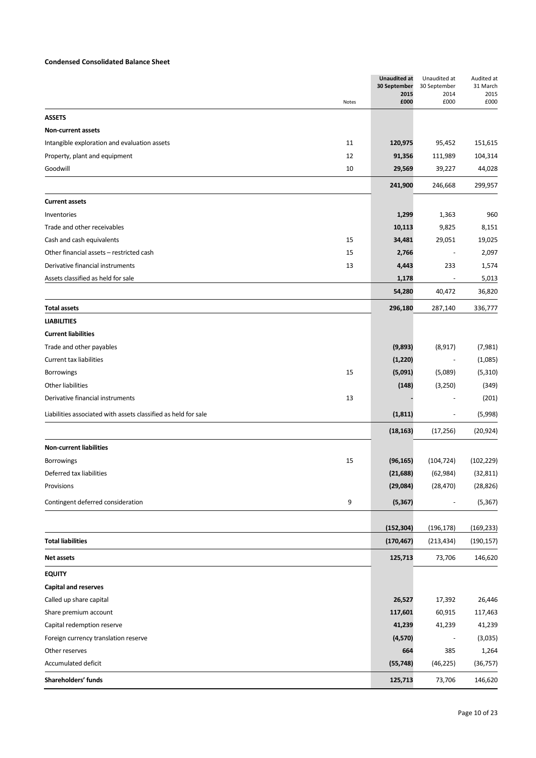## **Condensed Consolidated Balance Sheet**

|                                                                |       | <b>Unaudited at</b><br>30 September<br>2015 | Unaudited at<br>30 September<br>2014 | Audited at<br>31 March<br>2015 |
|----------------------------------------------------------------|-------|---------------------------------------------|--------------------------------------|--------------------------------|
|                                                                | Notes | £000                                        | £000                                 | £000                           |
| <b>ASSETS</b>                                                  |       |                                             |                                      |                                |
| <b>Non-current assets</b>                                      |       |                                             |                                      |                                |
| Intangible exploration and evaluation assets                   | 11    | 120,975                                     | 95,452                               | 151,615                        |
| Property, plant and equipment                                  | 12    | 91,356                                      | 111,989                              | 104,314                        |
| Goodwill                                                       | 10    | 29,569                                      | 39,227                               | 44,028                         |
|                                                                |       | 241,900                                     | 246,668                              | 299,957                        |
| <b>Current assets</b>                                          |       |                                             |                                      |                                |
| Inventories                                                    |       | 1,299                                       | 1,363                                | 960                            |
| Trade and other receivables                                    |       | 10,113                                      | 9,825                                | 8,151                          |
| Cash and cash equivalents                                      | 15    | 34,481                                      | 29,051                               | 19,025                         |
| Other financial assets - restricted cash                       | 15    | 2,766                                       | $\overline{\phantom{a}}$             | 2,097                          |
| Derivative financial instruments                               | 13    | 4,443                                       | 233                                  | 1,574                          |
| Assets classified as held for sale                             |       | 1,178                                       | $\blacksquare$                       | 5,013                          |
|                                                                |       | 54,280                                      | 40,472                               | 36,820                         |
| <b>Total assets</b>                                            |       | 296,180                                     | 287,140                              | 336,777                        |
| <b>LIABILITIES</b>                                             |       |                                             |                                      |                                |
| <b>Current liabilities</b>                                     |       |                                             |                                      |                                |
| Trade and other payables                                       |       | (9,893)                                     | (8, 917)                             | (7,981)                        |
| <b>Current tax liabilities</b>                                 |       | (1, 220)                                    |                                      | (1,085)                        |
| Borrowings                                                     | 15    | (5,091)                                     | (5,089)                              | (5, 310)                       |
| Other liabilities                                              |       | (148)                                       | (3, 250)                             | (349)                          |
| Derivative financial instruments                               | 13    |                                             |                                      | (201)                          |
| Liabilities associated with assets classified as held for sale |       | (1, 811)                                    | $\overline{\phantom{a}}$             | (5,998)                        |
|                                                                |       | (18, 163)                                   | (17, 256)                            | (20, 924)                      |
| <b>Non-current liabilities</b>                                 |       |                                             |                                      |                                |
| <b>Borrowings</b>                                              | 15    | (96, 165)                                   | (104, 724)                           | (102, 229)                     |
| Deferred tax liabilities                                       |       | (21, 688)                                   | (62, 984)                            | (32, 811)                      |
| Provisions                                                     |       | (29, 084)                                   | (28, 470)                            | (28, 826)                      |
| Contingent deferred consideration                              | 9     | (5, 367)                                    | $\blacksquare$                       | (5, 367)                       |
|                                                                |       | (152, 304)                                  | (196, 178)                           | (169, 233)                     |
| <b>Total liabilities</b>                                       |       | (170, 467)                                  | (213, 434)                           | (190, 157)                     |
| <b>Net assets</b>                                              |       | 125,713                                     | 73,706                               | 146,620                        |
| <b>EQUITY</b>                                                  |       |                                             |                                      |                                |
| <b>Capital and reserves</b>                                    |       |                                             |                                      |                                |
| Called up share capital                                        |       | 26,527                                      | 17,392                               | 26,446                         |
| Share premium account                                          |       | 117,601                                     | 60,915                               | 117,463                        |
| Capital redemption reserve                                     |       | 41,239                                      | 41,239                               | 41,239                         |
| Foreign currency translation reserve                           |       | (4,570)                                     | $\overline{\phantom{a}}$             | (3,035)                        |
| Other reserves                                                 |       | 664                                         | 385                                  | 1,264                          |
| Accumulated deficit                                            |       | (55, 748)                                   | (46, 225)                            | (36, 757)                      |
| Shareholders' funds                                            |       | 125,713                                     | 73,706                               | 146,620                        |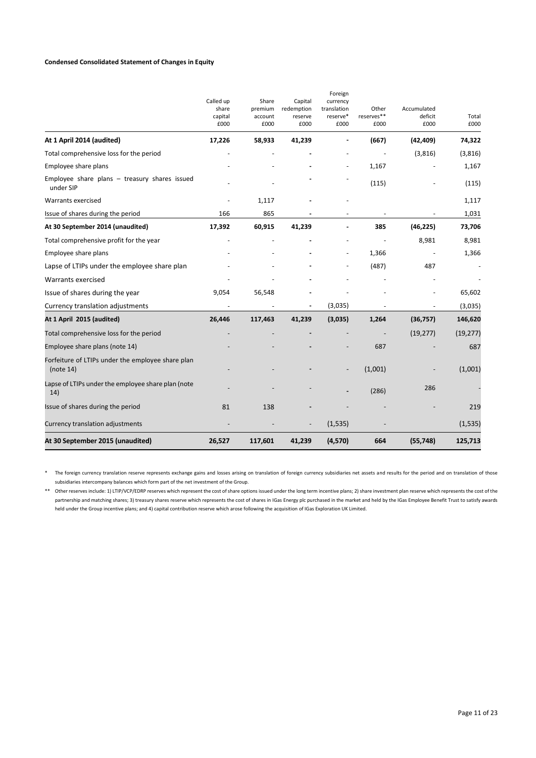## **Condensed Consolidated Statement of Changes in Equity**

| At 30 September 2015 (unaudited)                               | 26,527                   | 117,601                    | 41,239                        | (4,570)                         | 664                         | (55, 748)                      | 125,713       |
|----------------------------------------------------------------|--------------------------|----------------------------|-------------------------------|---------------------------------|-----------------------------|--------------------------------|---------------|
| Currency translation adjustments                               |                          |                            |                               | (1, 535)                        |                             |                                | (1, 535)      |
| Issue of shares during the period                              | 81                       | 138                        |                               |                                 |                             |                                | 219           |
| Lapse of LTIPs under the employee share plan (note<br>14)      |                          |                            |                               |                                 | (286)                       | 286                            |               |
| Forfeiture of LTIPs under the employee share plan<br>(note 14) |                          |                            |                               |                                 | (1,001)                     |                                | (1,001)       |
| Employee share plans (note 14)                                 |                          |                            |                               |                                 | 687                         |                                | 687           |
| Total comprehensive loss for the period                        |                          |                            |                               |                                 |                             | (19, 277)                      | (19, 277)     |
| At 1 April 2015 (audited)                                      | 26,446                   | 117,463                    | 41,239                        | (3,035)                         | 1,264                       | (36, 757)                      | 146,620       |
| Currency translation adjustments                               |                          |                            |                               | (3,035)                         |                             |                                | (3,035)       |
| Issue of shares during the year                                | 9,054                    | 56,548                     |                               |                                 |                             |                                | 65,602        |
| Warrants exercised                                             |                          |                            |                               |                                 |                             |                                |               |
| Lapse of LTIPs under the employee share plan                   |                          |                            |                               | L.                              | (487)                       | 487                            |               |
| Employee share plans                                           |                          |                            |                               |                                 | 1,366                       |                                | 1,366         |
| Total comprehensive profit for the year                        |                          |                            |                               |                                 |                             | 8,981                          | 8,981         |
| At 30 September 2014 (unaudited)                               | 17,392                   | 60,915                     | 41,239                        | $\overline{a}$                  | 385                         | (46, 225)                      | 73,706        |
| Issue of shares during the period                              | 166                      | 865                        |                               |                                 |                             |                                | 1,031         |
| Warrants exercised                                             |                          | 1,117                      |                               |                                 |                             |                                | 1,117         |
| Employee share plans - treasury shares issued<br>under SIP     |                          |                            |                               |                                 | (115)                       |                                | (115)         |
| Employee share plans                                           |                          |                            |                               |                                 | 1,167                       |                                | 1,167         |
| Total comprehensive loss for the period                        |                          |                            |                               |                                 |                             | (3,816)                        | (3,816)       |
| At 1 April 2014 (audited)                                      | 17,226                   | 58,933                     | 41,239                        |                                 | (667)                       | (42, 409)                      | 74,322        |
|                                                                | share<br>capital<br>£000 | premium<br>account<br>£000 | redemption<br>reserve<br>£000 | translation<br>reserve*<br>£000 | Other<br>reserves**<br>£000 | Accumulated<br>deficit<br>£000 | Total<br>£000 |
|                                                                | Called up                | Share                      | Capital                       | Foreign<br>currency             |                             |                                |               |

\* The foreign currency translation reserve represents exchange gains and losses arising on translation of foreign currency subsidiaries net assets and results for the period and on translation of those subsidiaries intercompany balances which form part of the net investment of the Group.

\*\* Other reserves include: 1) LTIP/VCP/EDRP reserves which represent the cost of share options issued under the long term incentive plans; 2) share investment plan reserve which represents the cost of the partnership and matching shares; 3) treasury shares reserve which represents the cost of shares in IGas Energy plc purchased in the market and held by the IGas Employee Benefit Trust to satisfy awards held under the Group incentive plans; and 4) capital contribution reserve which arose following the acquisition of IGas Exploration UK Limited.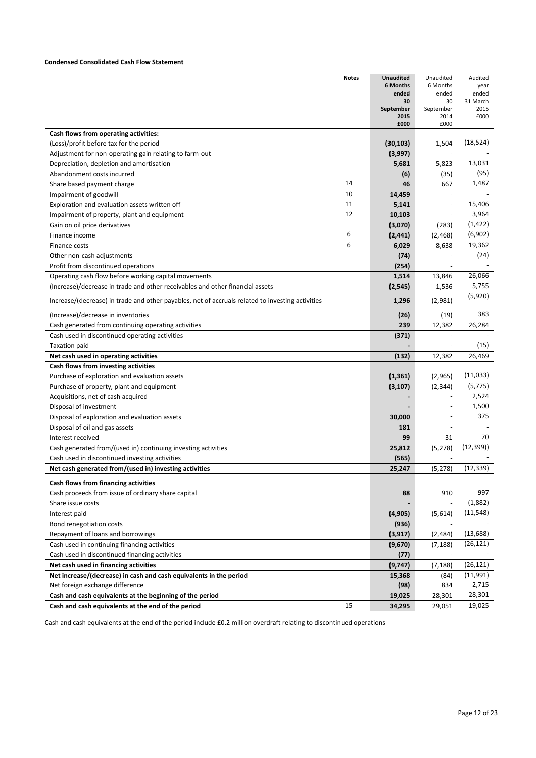## **Condensed Consolidated Cash Flow Statement**

|                                                                                                                | <b>Notes</b> | <b>Unaudited</b><br>6 Months<br>ended<br>30<br>September<br>2015 | Unaudited<br>6 Months<br>ended<br>30<br>September<br>2014 | Audited<br>year<br>ended<br>31 March<br>2015<br>£000 |
|----------------------------------------------------------------------------------------------------------------|--------------|------------------------------------------------------------------|-----------------------------------------------------------|------------------------------------------------------|
| Cash flows from operating activities:                                                                          |              | £000                                                             | £000                                                      |                                                      |
| (Loss)/profit before tax for the period                                                                        |              | (30, 103)                                                        | 1,504                                                     | (18, 524)                                            |
| Adjustment for non-operating gain relating to farm-out                                                         |              | (3,997)                                                          |                                                           |                                                      |
| Depreciation, depletion and amortisation                                                                       |              | 5,681                                                            | 5,823                                                     | 13,031                                               |
| Abandonment costs incurred                                                                                     |              | (6)                                                              | (35)                                                      | (95)                                                 |
| Share based payment charge                                                                                     | 14           | 46                                                               | 667                                                       | 1,487                                                |
| Impairment of goodwill                                                                                         | 10           | 14,459                                                           |                                                           |                                                      |
| Exploration and evaluation assets written off                                                                  | 11           | 5,141                                                            |                                                           | 15,406                                               |
| Impairment of property, plant and equipment                                                                    | 12           | 10,103                                                           |                                                           | 3,964                                                |
| Gain on oil price derivatives                                                                                  |              | (3,070)                                                          | (283)                                                     | (1, 422)                                             |
| Finance income                                                                                                 | 6            | (2, 441)                                                         | (2,468)                                                   | (6,902)                                              |
| Finance costs                                                                                                  | 6            | 6,029                                                            | 8,638                                                     | 19,362                                               |
| Other non-cash adjustments                                                                                     |              | (74)                                                             |                                                           | (24)                                                 |
| Profit from discontinued operations                                                                            |              | (254)                                                            |                                                           |                                                      |
| Operating cash flow before working capital movements                                                           |              | 1,514                                                            | 13,846                                                    | 26,066                                               |
| (Increase)/decrease in trade and other receivables and other financial assets                                  |              | (2, 545)                                                         | 1,536                                                     | 5,755                                                |
| Increase/(decrease) in trade and other payables, net of accruals related to investing activities               |              | 1,296                                                            | (2,981)                                                   | (5,920)                                              |
| (Increase)/decrease in inventories                                                                             |              | (26)                                                             | (19)                                                      | 383                                                  |
| Cash generated from continuing operating activities                                                            |              | 239                                                              | 12,382                                                    | 26,284                                               |
| Cash used in discontinued operating activities                                                                 |              | (371)                                                            |                                                           |                                                      |
| <b>Taxation paid</b>                                                                                           |              |                                                                  |                                                           | (15)                                                 |
| Net cash used in operating activities                                                                          |              | (132)                                                            | 12,382                                                    | 26,469                                               |
| Cash flows from investing activities                                                                           |              |                                                                  |                                                           |                                                      |
| Purchase of exploration and evaluation assets                                                                  |              | (1, 361)                                                         | (2,965)                                                   | (11,033)                                             |
| Purchase of property, plant and equipment                                                                      |              | (3, 107)                                                         | (2, 344)                                                  | (5, 775)                                             |
| Acquisitions, net of cash acquired                                                                             |              |                                                                  |                                                           | 2,524                                                |
| Disposal of investment                                                                                         |              |                                                                  |                                                           | 1,500                                                |
| Disposal of exploration and evaluation assets                                                                  |              | 30,000                                                           |                                                           | 375                                                  |
| Disposal of oil and gas assets                                                                                 |              | 181                                                              |                                                           |                                                      |
| Interest received                                                                                              |              | 99                                                               | 31                                                        | 70                                                   |
| Cash generated from/(used in) continuing investing activities                                                  |              | 25,812                                                           | (5, 278)                                                  | (12, 399)                                            |
| Cash used in discontinued investing activities                                                                 |              | (565)                                                            |                                                           |                                                      |
| Net cash generated from/(used in) investing activities                                                         |              | 25,247                                                           | (5,278)                                                   | (12, 339)                                            |
| Cash flows from financing activities                                                                           |              |                                                                  |                                                           |                                                      |
| Cash proceeds from issue of ordinary share capital                                                             |              | 88                                                               | 910                                                       | 997                                                  |
| Share issue costs                                                                                              |              |                                                                  | $\blacksquare$                                            | (1,882)                                              |
| Interest paid                                                                                                  |              | (4, 905)                                                         | (5,614)                                                   | (11, 548)                                            |
| Bond renegotiation costs                                                                                       |              | (936)                                                            |                                                           |                                                      |
| Repayment of loans and borrowings                                                                              |              | (3, 917)                                                         | (2,484)                                                   | (13, 688)                                            |
| Cash used in continuing financing activities                                                                   |              | (9,670)                                                          | (7, 188)                                                  | (26, 121)                                            |
| Cash used in discontinued financing activities                                                                 |              | (77)                                                             |                                                           |                                                      |
| Net cash used in financing activities                                                                          |              | (9,747)                                                          | (7,188)                                                   | (26, 121)                                            |
| Net increase/(decrease) in cash and cash equivalents in the period                                             |              | 15,368                                                           | (84)                                                      | (11,991)                                             |
| Net foreign exchange difference                                                                                |              | (98)                                                             | 834                                                       | 2,715<br>28,301                                      |
| Cash and cash equivalents at the beginning of the period<br>Cash and cash equivalents at the end of the period | 15           | 19,025<br>34,295                                                 | 28,301<br>29,051                                          | 19,025                                               |
|                                                                                                                |              |                                                                  |                                                           |                                                      |

Cash and cash equivalents at the end of the period include £0.2 million overdraft relating to discontinued operations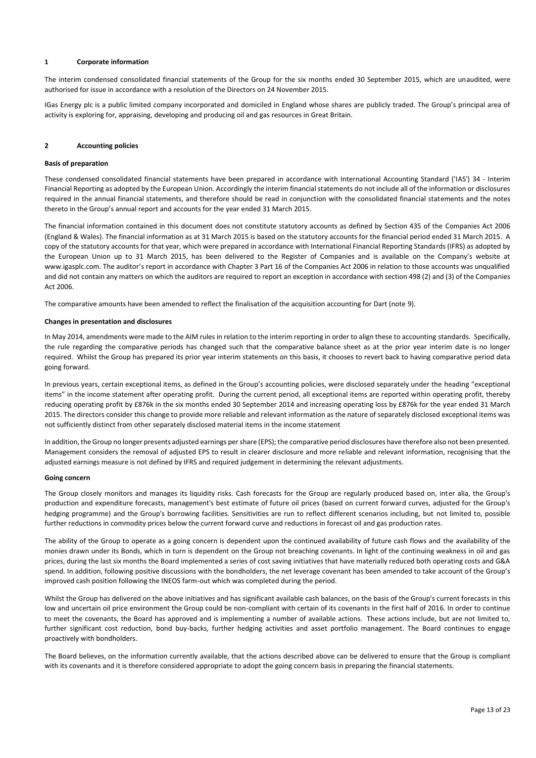#### **1 Corporate information**

The interim condensed consolidated financial statements of the Group for the six months ended 30 September 2015, which are unaudited, were authorised for issue in accordance with a resolution of the Directors on 24 November 2015.

IGas Energy plc is a public limited company incorporated and domiciled in England whose shares are publicly traded. The Group's principal area of activity is exploring for, appraising, developing and producing oil and gas resources in Great Britain.

#### **2 Accounting policies**

#### **Basis of preparation**

These condensed consolidated financial statements have been prepared in accordance with International Accounting Standard ('IAS') 34 - Interim Financial Reporting as adopted by the European Union. Accordingly the interim financial statements do not include all of the information or disclosures required in the annual financial statements, and therefore should be read in conjunction with the consolidated financial statements and the notes thereto in the Group's annual report and accounts for the year ended 31 March 2015.

The financial information contained in this document does not constitute statutory accounts as defined by Section 435 of the Companies Act 2006 (England & Wales). The financial information as at 31 March 2015 is based on the statutory accounts for the financial period ended 31 March 2015. A copy of the statutory accounts for that year, which were prepared in accordance with International Financial Reporting Standards (IFRS) as adopted by the European Union up to 31 March 2015, has been delivered to the Register of Companies and is available on the Company's website at www.igasplc.com. The auditor's report in accordance with Chapter 3 Part 16 of the Companies Act 2006 in relation to those accounts was unqualified and did not contain any matters on which the auditors are required to report an exception in accordance with section 498 (2) and (3) of the Companies Act 2006.

The comparative amounts have been amended to reflect the finalisation of the acquisition accounting for Dart (note 9).

#### **Changes in presentation and disclosures**

In May 2014, amendments were made to the AIM rules in relation to the interim reporting in order to align these to accounting standards. Specifically, the rule regarding the comparative periods has changed such that the comparative balance sheet as at the prior year interim date is no longer required. Whilst the Group has prepared its prior year interim statements on this basis, it chooses to revert back to having comparative period data going forward.

In previous years, certain exceptional items, as defined in the Group's accounting policies, were disclosed separately under the heading "exceptional items" in the income statement after operating profit. During the current period, all exceptional items are reported within operating profit, thereby reducing operating profit by £876k in the six months ended 30 September 2014 and increasing operating loss by £876k for the year ended 31 March 2015. The directors consider this change to provide more reliable and relevant information as the nature of separately disclosed exceptional items was not sufficiently distinct from other separately disclosed material items in the income statement

In addition, the Group no longer presents adjusted earnings per share (EPS); the comparative period disclosures have therefore also not been presented. Management considers the removal of adjusted EPS to result in clearer disclosure and more reliable and relevant information, recognising that the adjusted earnings measure is not defined by IFRS and required judgement in determining the relevant adjustments.

### **Going concern**

The Group closely monitors and manages its liquidity risks. Cash forecasts for the Group are regularly produced based on, inter alia, the Group's production and expenditure forecasts, management's best estimate of future oil prices (based on current forward curves, adjusted for the Group's hedging programme) and the Group's borrowing facilities. Sensitivities are run to reflect different scenarios including, but not limited to, possible further reductions in commodity prices below the current forward curve and reductions in forecast oil and gas production rates.

The ability of the Group to operate as a going concern is dependent upon the continued availability of future cash flows and the availability of the monies drawn under its Bonds, which in turn is dependent on the Group not breaching covenants. In light of the continuing weakness in oil and gas prices, during the last six months the Board implemented a series of cost saving initiatives that have materially reduced both operating costs and G&A spend. In addition, following positive discussions with the bondholders, the net leverage covenant has been amended to take account of the Group's improved cash position following the INEOS farm-out which was completed during the period.

Whilst the Group has delivered on the above initiatives and has significant available cash balances, on the basis of the Group's current forecasts in this low and uncertain oil price environment the Group could be non-compliant with certain of its covenants in the first half of 2016. In order to continue to meet the covenants, the Board has approved and is implementing a number of available actions. These actions include, but are not limited to, further significant cost reduction, bond buy-backs, further hedging activities and asset portfolio management. The Board continues to engage proactively with bondholders.

The Board believes, on the information currently available, that the actions described above can be delivered to ensure that the Group is compliant with its covenants and it is therefore considered appropriate to adopt the going concern basis in preparing the financial statements.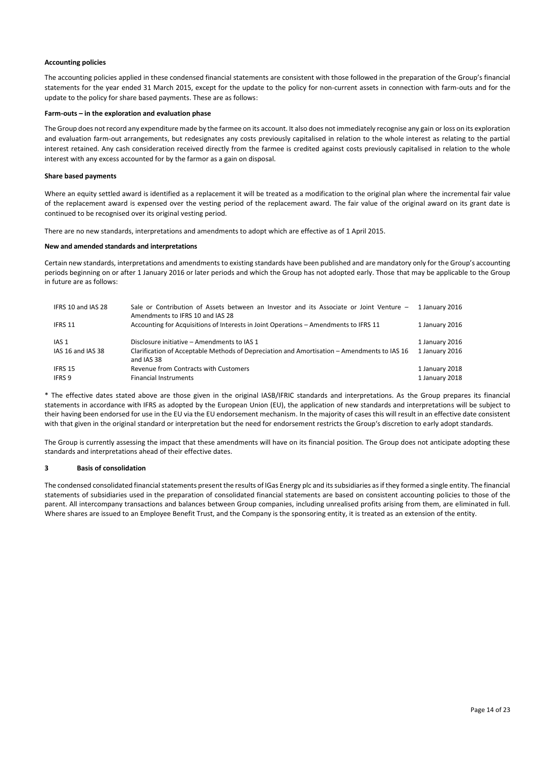#### **Accounting policies**

The accounting policies applied in these condensed financial statements are consistent with those followed in the preparation of the Group's financial statements for the year ended 31 March 2015, except for the update to the policy for non-current assets in connection with farm-outs and for the update to the policy for share based payments. These are as follows:

## **Farm-outs – in the exploration and evaluation phase**

The Group does not record any expenditure made by the farmee on its account. It also does not immediately recognise any gain or loss on its exploration and evaluation farm-out arrangements, but redesignates any costs previously capitalised in relation to the whole interest as relating to the partial interest retained. Any cash consideration received directly from the farmee is credited against costs previously capitalised in relation to the whole interest with any excess accounted for by the farmor as a gain on disposal.

#### **Share based payments**

Where an equity settled award is identified as a replacement it will be treated as a modification to the original plan where the incremental fair value of the replacement award is expensed over the vesting period of the replacement award. The fair value of the original award on its grant date is continued to be recognised over its original vesting period.

There are no new standards, interpretations and amendments to adopt which are effective as of 1 April 2015.

#### **New and amended standards and interpretations**

Certain new standards, interpretations and amendments to existing standards have been published and are mandatory only for the Group's accounting periods beginning on or after 1 January 2016 or later periods and which the Group has not adopted early. Those that may be applicable to the Group in future are as follows:

| IFRS 10 and IAS 28 | Sale or Contribution of Assets between an Investor and its Associate or Joint Venture -<br>Amendments to IFRS 10 and IAS 28 | 1 January 2016 |
|--------------------|-----------------------------------------------------------------------------------------------------------------------------|----------------|
| IFRS 11            | Accounting for Acquisitions of Interests in Joint Operations - Amendments to IFRS 11                                        | 1 January 2016 |
| IAS <sub>1</sub>   | Disclosure initiative – Amendments to IAS 1                                                                                 | 1 January 2016 |
| IAS 16 and IAS 38  | Clarification of Acceptable Methods of Depreciation and Amortisation – Amendments to IAS 16<br>and IAS 38                   | 1 January 2016 |
| IFRS 15            | Revenue from Contracts with Customers                                                                                       | 1 January 2018 |
| IFRS 9             | <b>Financial Instruments</b>                                                                                                | 1 January 2018 |

\* The effective dates stated above are those given in the original IASB/IFRIC standards and interpretations. As the Group prepares its financial statements in accordance with IFRS as adopted by the European Union (EU), the application of new standards and interpretations will be subject to their having been endorsed for use in the EU via the EU endorsement mechanism. In the majority of cases this will result in an effective date consistent with that given in the original standard or interpretation but the need for endorsement restricts the Group's discretion to early adopt standards.

The Group is currently assessing the impact that these amendments will have on its financial position. The Group does not anticipate adopting these standards and interpretations ahead of their effective dates.

### **3 Basis of consolidation**

The condensed consolidated financial statements present the results of IGas Energy plc and its subsidiaries as if they formed a single entity. The financial statements of subsidiaries used in the preparation of consolidated financial statements are based on consistent accounting policies to those of the parent. All intercompany transactions and balances between Group companies, including unrealised profits arising from them, are eliminated in full. Where shares are issued to an Employee Benefit Trust, and the Company is the sponsoring entity, it is treated as an extension of the entity.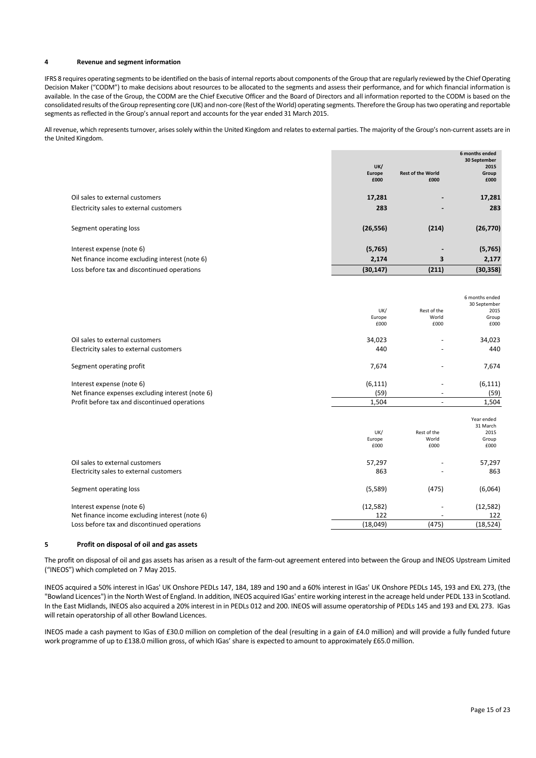## **4 Revenue and segment information**

IFRS 8 requires operating segments to be identified on the basis of internal reports about components of the Group that are regularly reviewed by the Chief Operating Decision Maker ("CODM") to make decisions about resources to be allocated to the segments and assess their performance, and for which financial information is available. In the case of the Group, the CODM are the Chief Executive Officer and the Board of Directors and all information reported to the CODM is based on the consolidated results of the Group representing core (UK) and non-core (Rest of the World) operating segments. Therefore the Group has two operating and reportable segments as reflected in the Group's annual report and accounts for the year ended 31 March 2015.

All revenue, which represents turnover, arises solely within the United Kingdom and relates to external parties. The majority of the Group's non-current assets are in the United Kingdom.

|                                                | UK/<br>Europe<br>£000 | <b>Rest of the World</b><br>£000 | 6 months ended<br>30 September<br>2015<br>Group<br>£000 |
|------------------------------------------------|-----------------------|----------------------------------|---------------------------------------------------------|
| Oil sales to external customers                | 17,281                |                                  | 17,281                                                  |
| Electricity sales to external customers        | 283                   |                                  | 283                                                     |
| Segment operating loss                         | (26, 556)             | (214)                            | (26, 770)                                               |
| Interest expense (note 6)                      | (5,765)               |                                  | (5,765)                                                 |
| Net finance income excluding interest (note 6) | 2,174                 | 3                                | 2,177                                                   |
| Loss before tax and discontinued operations    | (30, 147)             | (211)                            | (30, 358)                                               |

|                                                  | UK/            | Rest of the                  | 6 months ended<br>30 September<br>2015 |
|--------------------------------------------------|----------------|------------------------------|----------------------------------------|
|                                                  | Europe<br>£000 | World<br>£000                | Group<br>£000                          |
| Oil sales to external customers                  | 34,023         |                              | 34,023                                 |
| Electricity sales to external customers          | 440            | $\qquad \qquad \blacksquare$ | 440                                    |
| Segment operating profit                         | 7,674          |                              | 7,674                                  |
| Interest expense (note 6)                        | (6, 111)       |                              | (6, 111)                               |
| Net finance expenses excluding interest (note 6) | (59)           |                              | (59)                                   |
| Profit before tax and discontinued operations    | 1,504          | $\overline{\phantom{a}}$     | 1,504                                  |
|                                                  |                |                              | Year ended<br>31 March                 |
|                                                  | UK/            | Rest of the                  | 2015                                   |
|                                                  | Europe<br>£000 | World<br>£000                | Group<br>£000                          |
|                                                  |                |                              |                                        |
| Oil sales to external customers                  | 57,297         |                              | 57,297                                 |
| Electricity sales to external customers          | 863            |                              | 863                                    |
| Segment operating loss                           | (5,589)        | (475)                        | (6,064)                                |
| Interest expense (note 6)                        | (12, 582)      |                              | (12, 582)                              |
| Net finance income excluding interest (note 6)   | 122            |                              | 122                                    |
| Loss before tax and discontinued operations      | (18,049)       | (475)                        | (18, 524)                              |

#### **5 Profit on disposal of oil and gas assets**

The profit on disposal of oil and gas assets has arisen as a result of the farm-out agreement entered into between the Group and INEOS Upstream Limited ("INEOS") which completed on 7 May 2015.

INEOS acquired a 50% interest in IGas' UK Onshore PEDLs 147, 184, 189 and 190 and a 60% interest in IGas' UK Onshore PEDLs 145, 193 and EXL 273, (the "Bowland Licences") in the North West of England. In addition, INEOS acquired IGas' entire working interest in the acreage held under PEDL 133 in Scotland. In the East Midlands, INEOS also acquired a 20% interest in in PEDLs 012 and 200. INEOS will assume operatorship of PEDLs 145 and 193 and EXL 273. IGas will retain operatorship of all other Bowland Licences.

INEOS made a cash payment to IGas of £30.0 million on completion of the deal (resulting in a gain of £4.0 million) and will provide a fully funded future work programme of up to £138.0 million gross, of which IGas' share is expected to amount to approximately £65.0 million.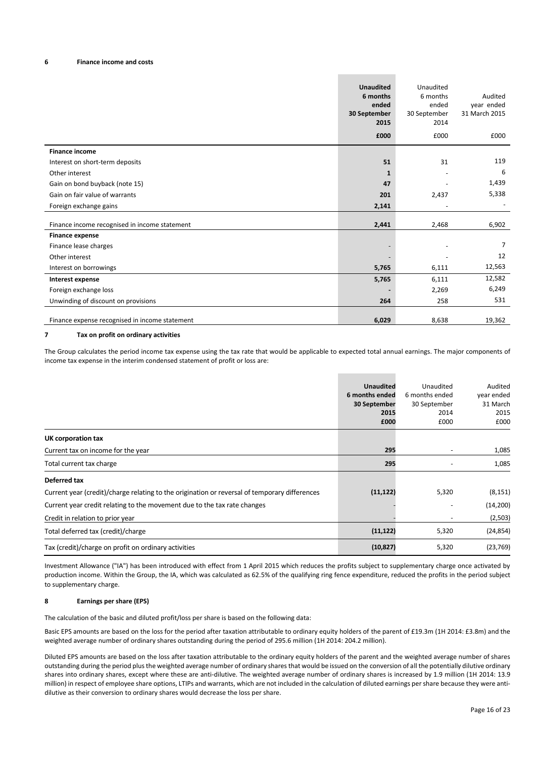|                                                | <b>Unaudited</b><br>6 months<br>ended<br>30 September<br>2015<br>£000 | Unaudited<br>6 months<br>ended<br>30 September<br>2014<br>£000 | Audited<br>year ended<br>31 March 2015<br>£000 |
|------------------------------------------------|-----------------------------------------------------------------------|----------------------------------------------------------------|------------------------------------------------|
| <b>Finance income</b>                          |                                                                       |                                                                |                                                |
| Interest on short-term deposits                | 51                                                                    | 31                                                             | 119                                            |
| Other interest                                 | 1                                                                     |                                                                | 6                                              |
| Gain on bond buyback (note 15)                 | 47                                                                    |                                                                | 1,439                                          |
| Gain on fair value of warrants                 | 201                                                                   | 2,437                                                          | 5,338                                          |
| Foreign exchange gains                         | 2,141                                                                 |                                                                |                                                |
| Finance income recognised in income statement  | 2,441                                                                 | 2,468                                                          | 6,902                                          |
| <b>Finance expense</b>                         |                                                                       |                                                                |                                                |
| Finance lease charges                          |                                                                       |                                                                | 7                                              |
| Other interest                                 |                                                                       |                                                                | 12                                             |
| Interest on borrowings                         | 5,765                                                                 | 6,111                                                          | 12,563                                         |
| Interest expense                               | 5,765                                                                 | 6,111                                                          | 12,582                                         |
| Foreign exchange loss                          |                                                                       | 2,269                                                          | 6,249                                          |
| Unwinding of discount on provisions            | 264                                                                   | 258                                                            | 531                                            |
| Finance expense recognised in income statement | 6,029                                                                 | 8,638                                                          | 19,362                                         |

#### **7 Tax on profit on ordinary activities**

The Group calculates the period income tax expense using the tax rate that would be applicable to expected total annual earnings. The major components of income tax expense in the interim condensed statement of profit or loss are:

۰

**College** 

|                                                                                               | <b>Unaudited</b><br>6 months ended<br>30 September<br>2015<br>£000 | Unaudited<br>6 months ended<br>30 September<br>2014<br>£000 | Audited<br>year ended<br>31 March<br>2015<br>£000 |
|-----------------------------------------------------------------------------------------------|--------------------------------------------------------------------|-------------------------------------------------------------|---------------------------------------------------|
| UK corporation tax                                                                            |                                                                    |                                                             |                                                   |
| Current tax on income for the year                                                            | 295                                                                |                                                             | 1,085                                             |
| Total current tax charge                                                                      | 295                                                                |                                                             | 1,085                                             |
| Deferred tax                                                                                  |                                                                    |                                                             |                                                   |
| Current year (credit)/charge relating to the origination or reversal of temporary differences | (11, 122)                                                          | 5,320                                                       | (8, 151)                                          |
| Current year credit relating to the movement due to the tax rate changes                      |                                                                    |                                                             | (14,200)                                          |
| Credit in relation to prior year                                                              |                                                                    | $\overline{\phantom{m}}$                                    | (2,503)                                           |
| Total deferred tax (credit)/charge                                                            | (11, 122)                                                          | 5,320                                                       | (24, 854)                                         |
| Tax (credit)/charge on profit on ordinary activities                                          | (10, 827)                                                          | 5,320                                                       | (23, 769)                                         |

Investment Allowance ("IA") has been introduced with effect from 1 April 2015 which reduces the profits subject to supplementary charge once activated by production income. Within the Group, the IA, which was calculated as 62.5% of the qualifying ring fence expenditure, reduced the profits in the period subject to supplementary charge.

#### **8 Earnings per share (EPS)**

The calculation of the basic and diluted profit/loss per share is based on the following data:

Basic EPS amounts are based on the loss for the period after taxation attributable to ordinary equity holders of the parent of £19.3m (1H 2014: £3.8m) and the weighted average number of ordinary shares outstanding during the period of 295.6 million (1H 2014: 204.2 million).

Diluted EPS amounts are based on the loss after taxation attributable to the ordinary equity holders of the parent and the weighted average number of shares outstanding during the period plus the weighted average number of ordinary shares that would be issued on the conversion of all the potentially dilutive ordinary shares into ordinary shares, except where these are anti-dilutive. The weighted average number of ordinary shares is increased by 1.9 million (1H 2014: 13.9 million) in respect of employee share options, LTIPs and warrants, which are not included in the calculation of diluted earnings per share because they were antidilutive as their conversion to ordinary shares would decrease the loss per share.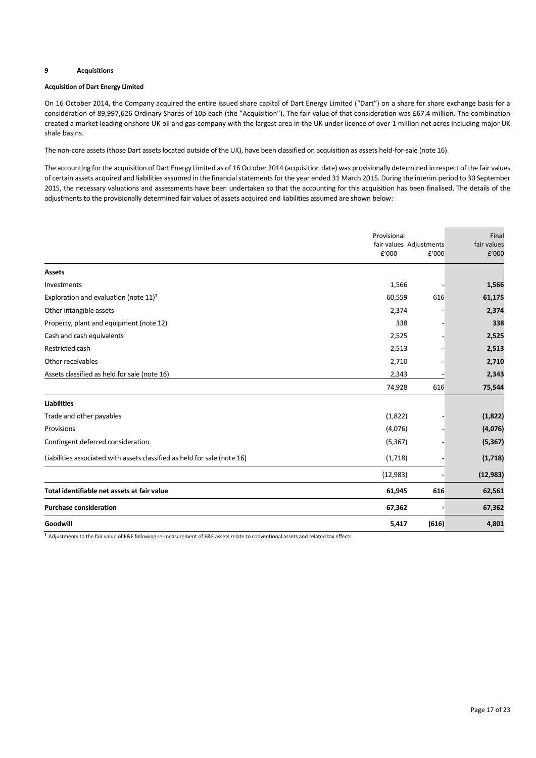### **9 Acquisitions**

#### **Acquisition of Dart Energy Limited**

On 16 October 2014, the Company acquired the entire issued share capital of Dart Energy Limited ("Dart") on a share for share exchange basis for a consideration of 89,997,626 Ordinary Shares of 10p each (the "Acquisition"). The fair value of that consideration was £67.4 million. The combination created a market leading onshore UK oil and gas company with the largest area in the UK under licence of over 1 million net acres including major UK shale basins.

The non-core assets (those Dart assets located outside of the UK), have been classified on acquisition as assets held-for-sale (note 16).

The accounting for the acquisition of Dart Energy Limited as of 16 October 2014 (acquisition date) was provisionally determined in respect of the fair values of certain assets acquired and liabilities assumed in the financial statements for the year ended 31 March 2015. During the interim period to 30 September 2015, the necessary valuations and assessments have been undertaken so that the accounting for this acquisition has been finalised. The details of the adjustments to the provisionally determined fair values of assets acquired and liabilities assumed are shown below:

|                                                                          | Provisional<br>fair values Adjustments<br>£'000 | £'000 | Final<br>fair values<br>f'000 |
|--------------------------------------------------------------------------|-------------------------------------------------|-------|-------------------------------|
| <b>Assets</b>                                                            |                                                 |       |                               |
| Investments                                                              | 1,566                                           |       | 1,566                         |
| Exploration and evaluation (note 11) <sup>1</sup>                        | 60,559                                          | 616   | 61,175                        |
| Other intangible assets                                                  | 2,374                                           |       | 2,374                         |
| Property, plant and equipment (note 12)                                  | 338                                             |       | 338                           |
| Cash and cash equivalents                                                | 2,525                                           |       | 2,525                         |
| Restricted cash                                                          | 2,513                                           |       | 2,513                         |
| Other receivables                                                        | 2,710                                           |       | 2,710                         |
| Assets classified as held for sale (note 16)                             | 2,343                                           |       | 2,343                         |
|                                                                          | 74,928                                          | 616   | 75,544                        |
| <b>Liabilities</b>                                                       |                                                 |       |                               |
| Trade and other payables                                                 | (1,822)                                         |       | (1,822)                       |
| Provisions                                                               | (4,076)                                         |       | (4,076)                       |
| Contingent deferred consideration                                        | (5, 367)                                        |       | (5, 367)                      |
| Liabilities associated with assets classified as held for sale (note 16) | (1,718)                                         |       | (1,718)                       |
|                                                                          | (12,983)                                        |       | (12, 983)                     |
| Total identifiable net assets at fair value                              | 61,945                                          | 616   | 62,561                        |
| <b>Purchase consideration</b>                                            | 67,362                                          |       | 67,362                        |
| Goodwill                                                                 | 5,417                                           | (616) | 4,801                         |

1 Adjustments to the fair value of E&E following re-measurement of E&E assets relate to conventional assets and related tax effects.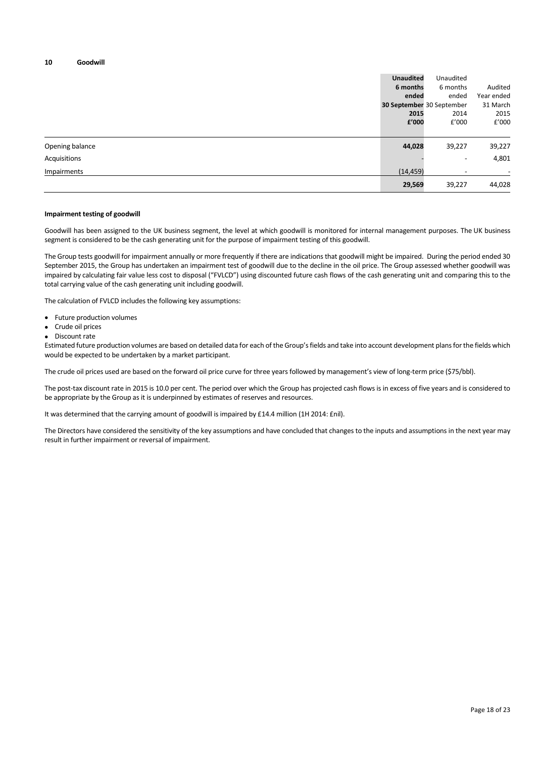|                 | <b>Unaudited</b> | Unaudited                 |            |
|-----------------|------------------|---------------------------|------------|
|                 | 6 months         | 6 months                  | Audited    |
|                 | ended            | ended                     | Year ended |
|                 |                  | 30 September 30 September | 31 March   |
|                 | 2015             | 2014                      | 2015       |
|                 | £'000            | f'000                     | f'000      |
|                 |                  |                           |            |
| Opening balance | 44,028           | 39,227                    | 39,227     |
| Acquisitions    |                  | $\overline{\phantom{a}}$  | 4,801      |
| Impairments     | (14, 459)        | $\overline{\phantom{a}}$  |            |
|                 | 29,569           | 39,227                    | 44,028     |

#### **Impairment testing of goodwill**

Goodwill has been assigned to the UK business segment, the level at which goodwill is monitored for internal management purposes. The UK business segment is considered to be the cash generating unit for the purpose of impairment testing of this goodwill.

The Group tests goodwill for impairment annually or more frequently if there are indications that goodwill might be impaired. During the period ended 30 September 2015, the Group has undertaken an impairment test of goodwill due to the decline in the oil price. The Group assessed whether goodwill was impaired by calculating fair value less cost to disposal ("FVLCD") using discounted future cash flows of the cash generating unit and comparing this to the total carrying value of the cash generating unit including goodwill.

The calculation of FVLCD includes the following key assumptions:

- Future production volumes
- Crude oil prices
- Discount rate

Estimated future production volumes are based on detailed data for each of the Group's fields and take into account development plans for the fields which would be expected to be undertaken by a market participant.

The crude oil prices used are based on the forward oil price curve for three years followed by management's view of long-term price (\$75/bbl).

The post-tax discount rate in 2015 is 10.0 per cent. The period over which the Group has projected cash flows is in excess of five years and is considered to be appropriate by the Group as it is underpinned by estimates of reserves and resources.

It was determined that the carrying amount of goodwill is impaired by £14.4 million (1H 2014: £nil).

The Directors have considered the sensitivity of the key assumptions and have concluded that changes to the inputs and assumptions in the next year may result in further impairment or reversal of impairment.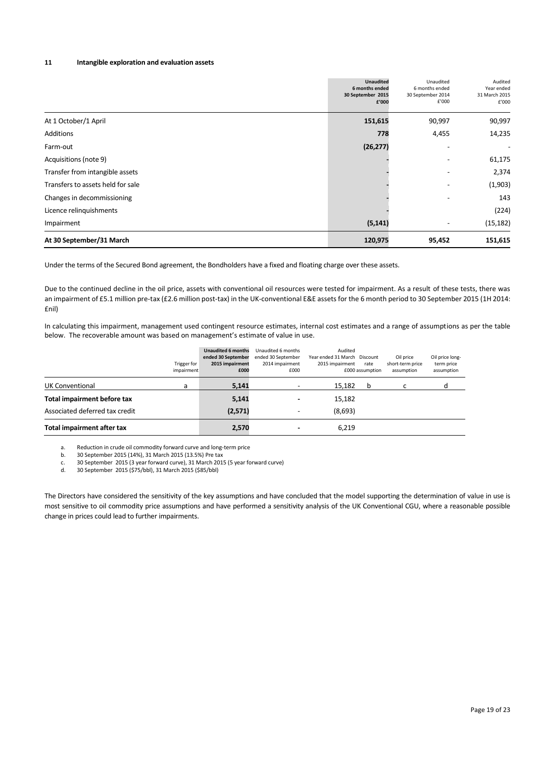#### **11 Intangible exploration and evaluation assets**

|                                   | <b>Unaudited</b><br>6 months ended<br>30 September 2015<br>£'000 | Unaudited<br>6 months ended<br>30 September 2014<br>£'000 | Audited<br>Year ended<br>31 March 2015<br>f'000 |
|-----------------------------------|------------------------------------------------------------------|-----------------------------------------------------------|-------------------------------------------------|
| At 1 October/1 April              | 151,615                                                          | 90,997                                                    | 90,997                                          |
| <b>Additions</b>                  | 778                                                              | 4,455                                                     | 14,235                                          |
| Farm-out                          | (26, 277)                                                        | $\overline{\phantom{0}}$                                  |                                                 |
| Acquisitions (note 9)             |                                                                  | $\overline{a}$                                            | 61,175                                          |
| Transfer from intangible assets   |                                                                  | $\overline{\phantom{0}}$                                  | 2,374                                           |
| Transfers to assets held for sale |                                                                  |                                                           | (1,903)                                         |
| Changes in decommissioning        |                                                                  |                                                           | 143                                             |
| Licence relinguishments           |                                                                  |                                                           | (224)                                           |
| Impairment                        | (5, 141)                                                         |                                                           | (15, 182)                                       |
| At 30 September/31 March          | 120,975                                                          | 95,452                                                    | 151,615                                         |

Under the terms of the Secured Bond agreement, the Bondholders have a fixed and floating charge over these assets.

Due to the continued decline in the oil price, assets with conventional oil resources were tested for impairment. As a result of these tests, there was an impairment of £5.1 million pre-tax (£2.6 million post-tax) in the UK-conventional E&E assets for the 6 month period to 30 September 2015 (1H 2014: £nil)

In calculating this impairment, management used contingent resource estimates, internal cost estimates and a range of assumptions as per the table below. The recoverable amount was based on management's estimate of value in use.

|                                | Trigger for<br>impairment | <b>Unaudited 6 months</b><br>ended 30 September<br>2015 impairment<br>£000 | Unaudited 6 months<br>ended 30 September<br>2014 impairment<br>£000 | Audited<br>Year ended 31 March Discount<br>2015 impairment | rate<br>£000 assumption | Oil price<br>short-term price<br>assumption | Oil price long-<br>term price<br>assumption |
|--------------------------------|---------------------------|----------------------------------------------------------------------------|---------------------------------------------------------------------|------------------------------------------------------------|-------------------------|---------------------------------------------|---------------------------------------------|
| UK Conventional                | a                         | 5,141                                                                      | $\overline{\phantom{a}}$                                            | 15,182                                                     | b                       |                                             |                                             |
| Total impairment before tax    |                           | 5,141                                                                      | $\overline{\phantom{0}}$                                            | 15,182                                                     |                         |                                             |                                             |
| Associated deferred tax credit |                           | (2,571)                                                                    |                                                                     | (8,693)                                                    |                         |                                             |                                             |
| Total impairment after tax     |                           | 2,570                                                                      |                                                                     | 6,219                                                      |                         |                                             |                                             |

a. Reduction in crude oil commodity forward curve and long-term price<br>b. 30 September 2015 (14%), 31 March 2015 (13.5%) Pre tax

b. 30 September 2015 (14%), 31 March 2015 (13.5%) Pre tax

c. 30 September 2015 (3 year forward curve), 31 March 2015 (5 year forward curve)

d. 30 September 2015 (\$75/bbl), 31 March 2015 (\$85/bbl)

The Directors have considered the sensitivity of the key assumptions and have concluded that the model supporting the determination of value in use is most sensitive to oil commodity price assumptions and have performed a sensitivity analysis of the UK Conventional CGU, where a reasonable possible change in prices could lead to further impairments.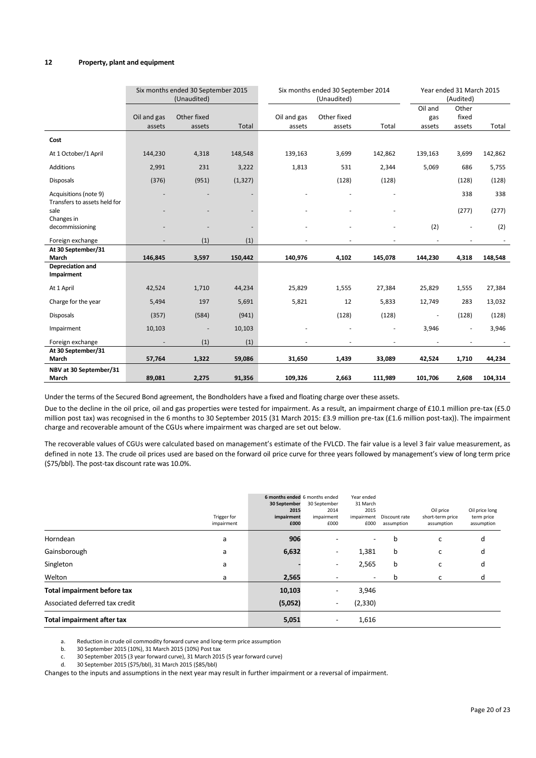#### **12 Property, plant and equipment**

|                                                |                       | Six months ended 30 September 2015<br>(Unaudited) |              | Six months ended 30 September 2014<br>(Unaudited) |                       |         | Year ended 31 March 2015<br>(Audited) |                          |         |
|------------------------------------------------|-----------------------|---------------------------------------------------|--------------|---------------------------------------------------|-----------------------|---------|---------------------------------------|--------------------------|---------|
|                                                | Oil and gas<br>assets | Other fixed<br>assets                             | <b>Total</b> | Oil and gas<br>assets                             | Other fixed<br>assets | Total   | Oil and<br>gas<br>assets              | Other<br>fixed<br>assets | Total   |
| Cost                                           |                       |                                                   |              |                                                   |                       |         |                                       |                          |         |
| At 1 October/1 April                           | 144,230               | 4,318                                             | 148,548      | 139,163                                           | 3,699                 | 142,862 | 139,163                               | 3,699                    | 142,862 |
| <b>Additions</b>                               | 2,991                 | 231                                               | 3,222        | 1,813                                             | 531                   | 2,344   | 5,069                                 | 686                      | 5,755   |
| <b>Disposals</b>                               | (376)                 | (951)                                             | (1, 327)     |                                                   | (128)                 | (128)   |                                       | (128)                    | (128)   |
| Acquisitions (note 9)                          |                       |                                                   |              |                                                   |                       |         |                                       | 338                      | 338     |
| Transfers to assets held for<br>sale           |                       |                                                   |              |                                                   |                       |         |                                       | (277)                    | (277)   |
| Changes in<br>decommissioning                  |                       |                                                   |              |                                                   |                       |         | (2)                                   |                          | (2)     |
| Foreign exchange                               |                       | (1)                                               | (1)          |                                                   |                       |         |                                       |                          |         |
| At 30 September/31                             |                       |                                                   |              |                                                   |                       |         |                                       |                          |         |
| March<br><b>Depreciation and</b><br>Impairment | 146,845               | 3,597                                             | 150,442      | 140,976                                           | 4,102                 | 145,078 | 144,230                               | 4,318                    | 148,548 |
| At 1 April                                     | 42,524                | 1,710                                             | 44,234       | 25,829                                            | 1,555                 | 27,384  | 25,829                                | 1,555                    | 27,384  |
| Charge for the year                            | 5,494                 | 197                                               | 5,691        | 5,821                                             | 12                    | 5,833   | 12,749                                | 283                      | 13,032  |
| <b>Disposals</b>                               | (357)                 | (584)                                             | (941)        |                                                   | (128)                 | (128)   | ÷.                                    | (128)                    | (128)   |
| Impairment                                     | 10,103                |                                                   | 10,103       |                                                   |                       | ÷,      | 3,946                                 | ÷,                       | 3,946   |
| Foreign exchange                               |                       | (1)                                               | (1)          |                                                   |                       |         |                                       |                          |         |
| At 30 September/31<br>March                    | 57,764                | 1,322                                             | 59,086       | 31,650                                            | 1,439                 | 33,089  | 42,524                                | 1,710                    | 44,234  |
| NBV at 30 September/31<br>March                | 89,081                | 2,275                                             | 91,356       | 109,326                                           | 2,663                 | 111,989 | 101,706                               | 2,608                    | 104,314 |

Under the terms of the Secured Bond agreement, the Bondholders have a fixed and floating charge over these assets.

Due to the decline in the oil price, oil and gas properties were tested for impairment. As a result, an impairment charge of £10.1 million pre-tax (£5.0 million post tax) was recognised in the 6 months to 30 September 2015 (31 March 2015: £3.9 million pre-tax (£1.6 million post-tax)). The impairment charge and recoverable amount of the CGUs where impairment was charged are set out below.

The recoverable values of CGUs were calculated based on management's estimate of the FVLCD. The fair value is a level 3 fair value measurement, as defined in note 13. The crude oil prices used are based on the forward oil price curve for three years followed by management's view of long term price (\$75/bbl). The post-tax discount rate was 10.0%.

|                                    | Trigger for<br>impairment | 6 months ended 6 months ended<br>30 September<br>2015<br>impairment<br>£000 | 30 September<br>2014<br>impairment<br>£000 | Year ended<br>31 March<br>2015<br>impairment<br>£000 | Discount rate<br>assumption | Oil price<br>short-term price<br>assumption | Oil price long<br>term price<br>assumption |
|------------------------------------|---------------------------|-----------------------------------------------------------------------------|--------------------------------------------|------------------------------------------------------|-----------------------------|---------------------------------------------|--------------------------------------------|
| Horndean                           | a                         | 906                                                                         |                                            | -                                                    | b                           | c                                           | d                                          |
| Gainsborough                       | a                         | 6,632                                                                       | $\overline{\phantom{a}}$                   | 1,381                                                | b                           | c                                           | d                                          |
| Singleton                          | a                         |                                                                             | $\overline{\phantom{a}}$                   | 2,565                                                | b                           | с                                           | d                                          |
| Welton                             | a                         | 2,565                                                                       |                                            | $\overline{\phantom{0}}$                             | b                           | с                                           | d                                          |
| <b>Total impairment before tax</b> |                           | 10,103                                                                      | $\overline{\phantom{0}}$                   | 3,946                                                |                             |                                             |                                            |
| Associated deferred tax credit     |                           | (5,052)                                                                     | $\overline{\phantom{a}}$                   | (2,330)                                              |                             |                                             |                                            |
| <b>Total impairment after tax</b>  |                           | 5,051                                                                       | $\overline{\phantom{a}}$                   | 1,616                                                |                             |                                             |                                            |

a. Reduction in crude oil commodity forward curve and long-term price assumption<br>b. 30 September 2015 (10%), 31 March 2015 (10%) Post tax

b. 30 September 2015 (10%), 31 March 2015 (10%) Post tax

c. 30 September 2015 (3 year forward curve), 31 March 2015 (5 year forward curve)

d. 30 September 2015 (\$75/bbl), 31 March 2015 (\$85/bbl)

Changes to the inputs and assumptions in the next year may result in further impairment or a reversal of impairment.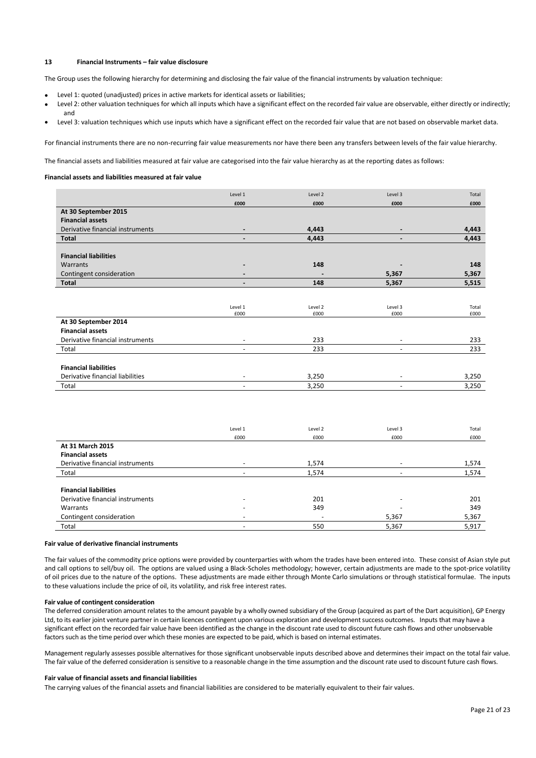#### **13 Financial Instruments – fair value disclosure**

The Group uses the following hierarchy for determining and disclosing the fair value of the financial instruments by valuation technique:

- Level 1: quoted (unadjusted) prices in active markets for identical assets or liabilities;
- Level 2: other valuation techniques for which all inputs which have a significant effect on the recorded fair value are observable, either directly or indirectly; and
- Level 3: valuation techniques which use inputs which have a significant effect on the recorded fair value that are not based on observable market data.

For financial instruments there are no non-recurring fair value measurements nor have there been any transfers between levels of the fair value hierarchy.

The financial assets and liabilities measured at fair value are categorised into the fair value hierarchy as at the reporting dates as follows:

#### **Financial assets and liabilities measured at fair value**

|                                  | Level 1                  | Level 2        | Level 3                  | Total |
|----------------------------------|--------------------------|----------------|--------------------------|-------|
|                                  | £000                     | £000           | £000                     | £000  |
| At 30 September 2015             |                          |                |                          |       |
| <b>Financial assets</b>          |                          |                |                          |       |
| Derivative financial instruments | $\blacksquare$           | 4,443          |                          | 4,443 |
| Total                            | $\overline{\phantom{0}}$ | 4,443          | $\overline{\phantom{0}}$ | 4,443 |
|                                  |                          |                |                          |       |
| <b>Financial liabilities</b>     |                          |                |                          |       |
| Warrants                         | $\overline{\phantom{0}}$ | 148            |                          | 148   |
| Contingent consideration         | $\overline{\phantom{0}}$ | $\blacksquare$ | 5,367                    | 5,367 |
| <b>Total</b>                     | $\blacksquare$           | 148            | 5,367                    | 5,515 |
|                                  |                          |                |                          |       |
|                                  | Level 1                  | Level 2        | Level 3                  | Total |
|                                  | £000                     | £000           | £000                     | £000  |
| At 30 September 2014             |                          |                |                          |       |
| <b>Financial assets</b>          |                          |                |                          |       |
| Derivative financial instruments | ٠                        | 233            | $\overline{\phantom{a}}$ | 233   |
| Total                            | $\overline{\phantom{a}}$ | 233            | $\overline{\phantom{a}}$ | 233   |
|                                  |                          |                |                          |       |
| <b>Financial liabilities</b>     |                          |                |                          |       |
| Derivative financial liabilities | ٠                        | 3,250          | $\overline{\phantom{a}}$ | 3,250 |
| Total                            |                          | 3,250          |                          | 3,250 |

|                                  | Level 1                  | Level 2                  | Level 3                  | Total |
|----------------------------------|--------------------------|--------------------------|--------------------------|-------|
|                                  | £000                     | £000                     | £000                     | £000  |
| At 31 March 2015                 |                          |                          |                          |       |
| <b>Financial assets</b>          |                          |                          |                          |       |
| Derivative financial instruments | $\overline{\phantom{0}}$ | 1,574                    | ۰                        | 1,574 |
| Total                            | $\overline{\phantom{a}}$ | 1,574                    | $\overline{\phantom{a}}$ | 1,574 |
|                                  |                          |                          |                          |       |
| <b>Financial liabilities</b>     |                          |                          |                          |       |
| Derivative financial instruments |                          | 201                      |                          | 201   |
| Warrants                         | <b>.</b>                 | 349                      |                          | 349   |
| Contingent consideration         |                          | $\overline{\phantom{0}}$ | 5,367                    | 5,367 |
| Total                            |                          | 550                      | 5,367                    | 5,917 |

#### **Fair value of derivative financial instruments**

The fair values of the commodity price options were provided by counterparties with whom the trades have been entered into. These consist of Asian style put and call options to sell/buy oil. The options are valued using a Black-Scholes methodology; however, certain adjustments are made to the spot-price volatility of oil prices due to the nature of the options. These adjustments are made either through Monte Carlo simulations or through statistical formulae. The inputs to these valuations include the price of oil, its volatility, and risk free interest rates.

#### **Fair value of contingent consideration**

The deferred consideration amount relates to the amount payable by a wholly owned subsidiary of the Group (acquired as part of the Dart acquisition), GP Energy Ltd, to its earlier joint venture partner in certain licences contingent upon various exploration and development success outcomes. Inputs that may have a significant effect on the recorded fair value have been identified as the change in the discount rate used to discount future cash flows and other unobservable factors such as the time period over which these monies are expected to be paid, which is based on internal estimates.

Management regularly assesses possible alternatives for those significant unobservable inputs described above and determines their impact on the total fair value. The fair value of the deferred consideration is sensitive to a reasonable change in the time assumption and the discount rate used to discount future cash flows.

#### **Fair value of financial assets and financial liabilities**

The carrying values of the financial assets and financial liabilities are considered to be materially equivalent to their fair values.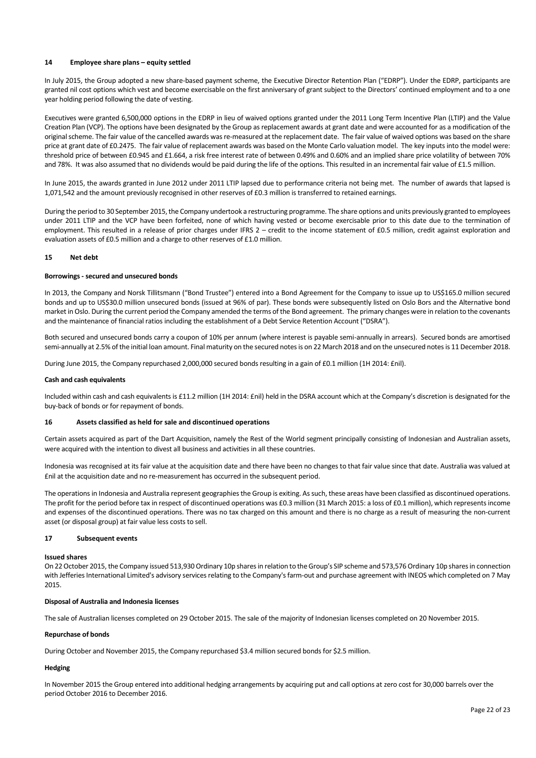#### **14 Employee share plans – equity settled**

In July 2015, the Group adopted a new share-based payment scheme, the Executive Director Retention Plan ("EDRP"). Under the EDRP, participants are granted nil cost options which vest and become exercisable on the first anniversary of grant subject to the Directors' continued employment and to a one year holding period following the date of vesting.

Executives were granted 6,500,000 options in the EDRP in lieu of waived options granted under the 2011 Long Term Incentive Plan (LTIP) and the Value Creation Plan (VCP). The options have been designated by the Group as replacement awards at grant date and were accounted for as a modification of the original scheme. The fair value of the cancelled awards wasre-measured at the replacement date. The fair value of waived options was based on the share price at grant date of £0.2475. The fair value of replacement awards was based on the Monte Carlo valuation model. The key inputs into the model were: threshold price of between £0.945 and £1.664, a risk free interest rate of between 0.49% and 0.60% and an implied share price volatility of between 70% and 78%. It was also assumed that no dividends would be paid during the life of the options. This resulted in an incremental fair value of £1.5 million.

In June 2015, the awards granted in June 2012 under 2011 LTIP lapsed due to performance criteria not being met. The number of awards that lapsed is 1,071,542 and the amount previously recognised in other reserves of £0.3 million is transferred to retained earnings.

During the period to 30 September 2015, the Company undertook a restructuring programme. The share options and units previously granted to employees under 2011 LTIP and the VCP have been forfeited, none of which having vested or become exercisable prior to this date due to the termination of employment. This resulted in a release of prior charges under IFRS 2 – credit to the income statement of £0.5 million, credit against exploration and evaluation assets of £0.5 million and a charge to other reserves of £1.0 million.

#### **15 Net debt**

#### **Borrowings - secured and unsecured bonds**

In 2013, the Company and Norsk Tillitsmann ("Bond Trustee") entered into a Bond Agreement for the Company to issue up to US\$165.0 million secured bonds and up to US\$30.0 million unsecured bonds (issued at 96% of par). These bonds were subsequently listed on Oslo Bors and the Alternative bond market in Oslo. During the current period the Company amended the terms of the Bond agreement. The primary changes were in relation to the covenants and the maintenance of financial ratios including the establishment of a Debt Service Retention Account ("DSRA").

Both secured and unsecured bonds carry a coupon of 10% per annum (where interest is payable semi-annually in arrears). Secured bonds are amortised semi-annually at 2.5% of the initial loan amount. Final maturity on the secured notes is on 22 March 2018 and on the unsecured notes is 11 December 2018.

During June 2015, the Company repurchased 2,000,000 secured bonds resulting in a gain of £0.1 million (1H 2014: £nil).

#### **Cash and cash equivalents**

Included within cash and cash equivalents is £11.2 million (1H 2014: £nil) held in the DSRA account which at the Company's discretion is designated for the buy-back of bonds or for repayment of bonds.

#### **16 Assets classified as held for sale and discontinued operations**

Certain assets acquired as part of the Dart Acquisition, namely the Rest of the World segment principally consisting of Indonesian and Australian assets, were acquired with the intention to divest all business and activities in all these countries.

Indonesia was recognised at its fair value at the acquisition date and there have been no changes to that fair value since that date. Australia was valued at £nil at the acquisition date and no re-measurement has occurred in the subsequent period.

The operations in Indonesia and Australia represent geographies the Group is exiting. As such, these areas have been classified as discontinued operations. The profit for the period before tax in respect of discontinued operations was £0.3 million (31 March 2015: a loss of £0.1 million), which represents income and expenses of the discontinued operations. There was no tax charged on this amount and there is no charge as a result of measuring the non-current asset (or disposal group) at fair value less costs to sell.

### **17 Subsequent events**

#### **Issued shares**

On 22 October 2015, the Company issued 513,930 Ordinary 10p shares in relation to the Group's SIP scheme and 573,576 Ordinary 10p shares in connection with Jefferies International Limited's advisory services relating to the Company's farm-out and purchase agreement with INEOS which completed on 7 May 2015.

#### **Disposal of Australia and Indonesia licenses**

The sale of Australian licenses completed on 29 October 2015. The sale of the majority of Indonesian licenses completed on 20 November 2015.

#### **Repurchase of bonds**

During October and November 2015, the Company repurchased \$3.4 million secured bonds for \$2.5 million.

#### **Hedging**

In November 2015 the Group entered into additional hedging arrangements by acquiring put and call options at zero cost for 30,000 barrels over the period October 2016 to December 2016.